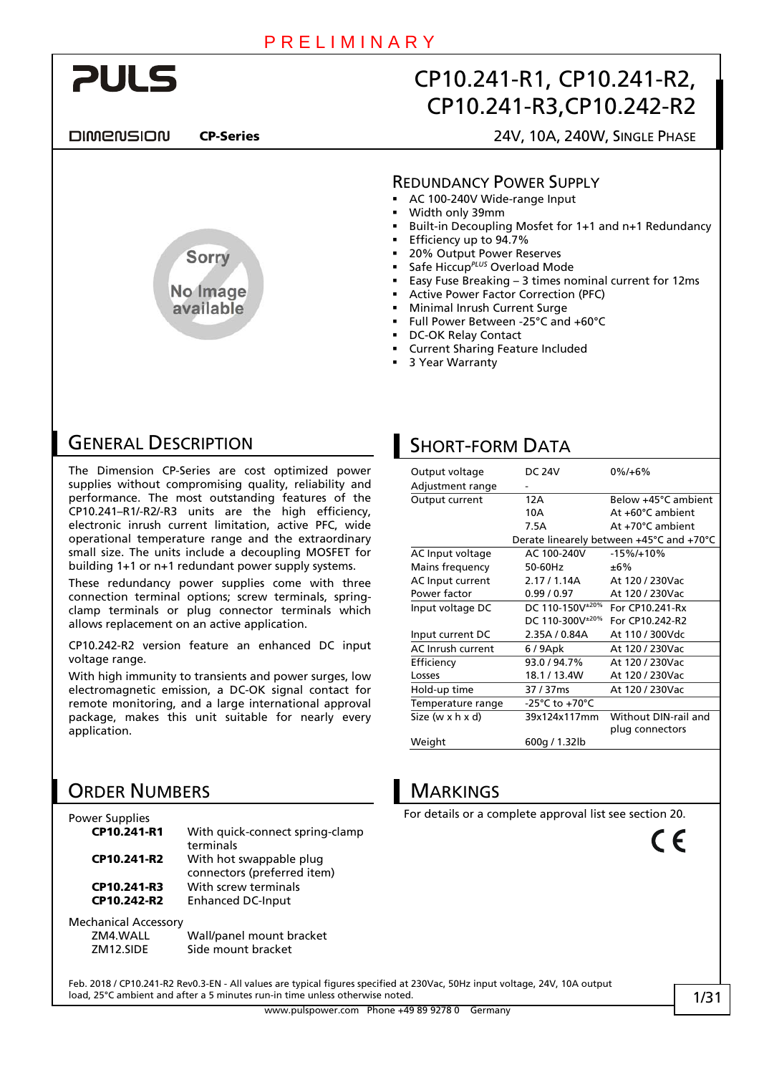

**DIMENSION** 

# Sorry No Image available

CP-Series 24V, 10A, 240W, SINGLE PHASE

#### REDUNDANCY POWER SUPPLY

- AC 100-240V Wide-range Input
- Width only 39mm
- Built-in Decoupling Mosfet for 1+1 and n+1 Redundancy
- Efficiency up to 94.7%
- 20% Output Power Reserves
- Safe Hiccup*PLUS* Overload Mode
- Easy Fuse Breaking 3 times nominal current for 12ms
- Active Power Factor Correction (PFC)
- Minimal Inrush Current Surge
- Full Power Between -25°C and +60°C
- DC-OK Relay Contact
- Current Sharing Feature Included
- 3 Year Warranty

### GENERAL DESCRIPTION

The Dimension CP-Series are cost optimized power supplies without compromising quality, reliability and performance. The most outstanding features of the CP10.241–R1/-R2/-R3 units are the high efficiency, electronic inrush current limitation, active PFC, wide operational temperature range and the extraordinary small size. The units include a decoupling MOSFET for building 1+1 or n+1 redundant power supply systems.

These redundancy power supplies come with three connection terminal options; screw terminals, springclamp terminals or plug connector terminals which allows replacement on an active application.

CP10.242-R2 version feature an enhanced DC input voltage range.

With high immunity to transients and power surges, low electromagnetic emission, a DC-OK signal contact for remote monitoring, and a large international approval package, makes this unit suitable for nearly every application.

# ORDER NUMBERS

| Power Supplies              |                                                        |
|-----------------------------|--------------------------------------------------------|
| CP10.241-R1                 | With quick-connect spring-clamp<br>terminals           |
| CP10.241-R2                 | With hot swappable plug<br>connectors (preferred item) |
| CP10.241-R3                 | With screw terminals                                   |
| CP10.242-R2                 | <b>Enhanced DC-Input</b>                               |
| <b>Mechanical Accessory</b> |                                                        |
| ZM4.WALL                    | Wall/panel mount bracket                               |

ZM12.SIDE Side mount bracket

# **SHORT-FORM DATA**

| Output voltage    | <b>DC 24V</b>               | $0\%/+6\%$                               |
|-------------------|-----------------------------|------------------------------------------|
| Adjustment range  |                             |                                          |
| Output current    | 12A                         | Below +45°C ambient                      |
|                   | 10A                         | At +60°C ambient                         |
|                   | 7.5A                        | At +70°C ambient                         |
|                   |                             | Derate linearely between +45°C and +70°C |
| AC Input voltage  | AC 100-240V                 | $-15\%/+10\%$                            |
| Mains frequency   | 50-60Hz                     | ±6%                                      |
| AC Input current  | 2.17 / 1.14A                | At 120 / 230Vac                          |
| Power factor      | 0.99/0.97                   | At 120 / 230Vac                          |
| Input voltage DC  | DC 110-150V <sup>±20%</sup> | For CP10.241-Rx                          |
|                   | DC 110-300V <sup>±20%</sup> | For CP10.242-R2                          |
| Input current DC  | 2.35A / 0.84A               | At 110 / 300Vdc                          |
| AC Inrush current | 6/9Apk                      | At 120 / 230Vac                          |
| Efficiency        | 93.0/94.7%                  | At 120 / 230Vac                          |
| Losses            | 18.1/13.4W                  | At 120 / 230Vac                          |
| Hold-up time      | 37 / 37 ms                  | At 120 / 230Vac                          |
| Temperature range | -25°C to +70°C              |                                          |
| Size (w x h x d)  | 39x124x117mm                | Without DIN-rail and                     |
|                   |                             | plug connectors                          |
| Weight            | 600g / 1.32lb               |                                          |

# MARKINGS

For details or a complete approval list see section [20](#page-20-0).

 $\epsilon$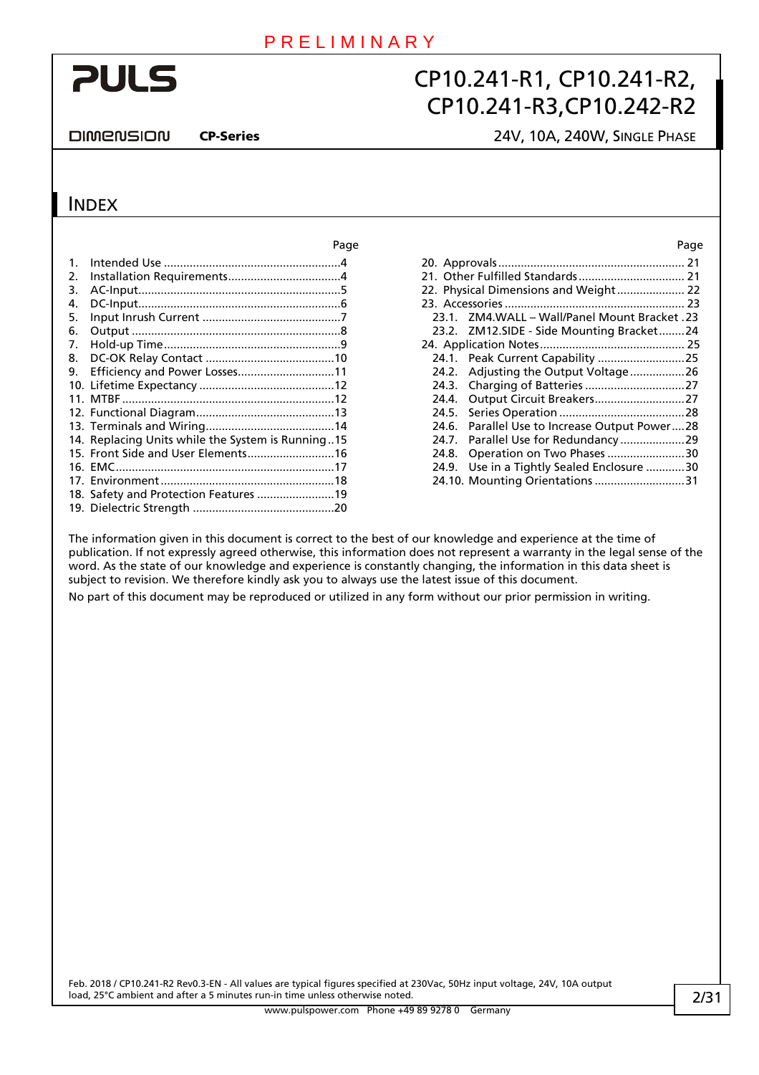# **PULS**

# CP10.241-R1, CP10.241-R2, CP10.241-R3,CP10.242-R2

DIMENSION

### CP-Series 24V, 10A, 240W, SINGLE PHASE

### **INDEX**

|         |                                                   | Page |       |                                               | Page |
|---------|---------------------------------------------------|------|-------|-----------------------------------------------|------|
| $1_{-}$ |                                                   |      |       |                                               |      |
| 2.      |                                                   |      |       |                                               |      |
| 3.      |                                                   |      |       |                                               |      |
| 4.      |                                                   |      |       |                                               |      |
| 5.      |                                                   |      |       | 23.1. ZM4.WALL - Wall/Panel Mount Bracket .23 |      |
| 6.      |                                                   |      |       | 23.2. ZM12.SIDE - Side Mounting Bracket24     |      |
| 7.      |                                                   |      |       |                                               |      |
| 8.      |                                                   |      |       |                                               |      |
| 9.      | Efficiency and Power Losses11                     |      |       | 24.2. Adjusting the Output Voltage26          |      |
|         |                                                   |      |       |                                               |      |
|         |                                                   |      |       |                                               |      |
|         |                                                   |      | 24.5. |                                               |      |
|         |                                                   |      |       | 24.6. Parallel Use to Increase Output Power28 |      |
|         | 14. Replacing Units while the System is Running15 |      |       |                                               |      |
|         |                                                   |      | 24.8. | Operation on Two Phases 30                    |      |
|         |                                                   |      |       | 24.9. Use in a Tightly Sealed Enclosure 30    |      |
|         |                                                   |      |       | 24.10. Mounting Orientations 31               |      |
|         | 18. Safety and Protection Features 19             |      |       |                                               |      |
|         |                                                   |      |       |                                               |      |

|       | 22. Physical Dimensions and Weight 22     |  |
|-------|-------------------------------------------|--|
|       |                                           |  |
| 23.1. | ZM4.WALL - Wall/Panel Mount Bracket .23   |  |
|       | 23.2. ZM12.SIDE - Side Mounting Bracket24 |  |
|       |                                           |  |
|       | 24.1. Peak Current Capability 25          |  |
|       | 24.2. Adjusting the Output Voltage26      |  |
|       |                                           |  |
| 24.4. | Output Circuit Breakers27                 |  |
| 24.5. |                                           |  |
| 24.6. | Parallel Use to Increase Output Power28   |  |
| 24.7. | Parallel Use for Redundancy29             |  |
| 24.8. | Operation on Two Phases 30                |  |
| 24.9. | Use in a Tightly Sealed Enclosure 30      |  |
|       | 24.10. Mounting Orientations 31           |  |
|       |                                           |  |

The information given in this document is correct to the best of our knowledge and experience at the time of publication. If not expressly agreed otherwise, this information does not represent a warranty in the legal sense of the word. As the state of our knowledge and experience is constantly changing, the information in this data sheet is subject to revision. We therefore kindly ask you to always use the latest issue of this document.

No part of this document may be reproduced or utilized in any form without our prior permission in writing.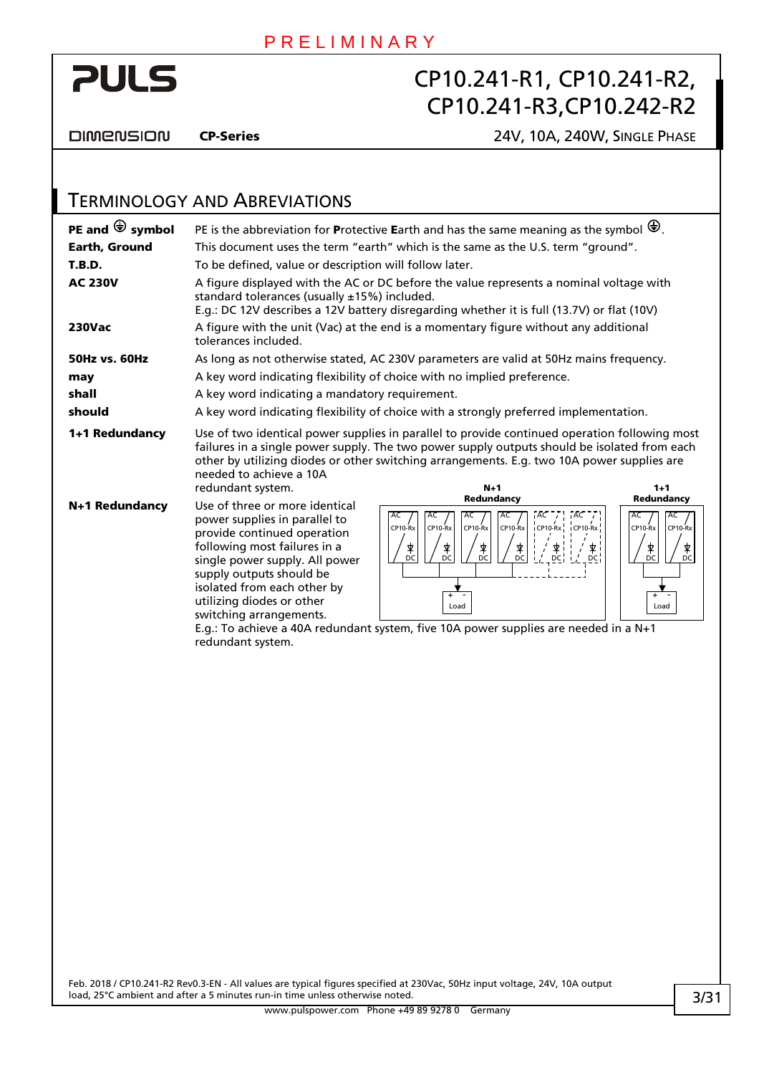

**DIMENSION** 

**PULS** 

CP-Series 24V, 10A, 240W, SINGLE PHASE

#### TERMINOLOGY AND ABREVIATIONS **PE and**  $\bigoplus$  **symbol** PE is the abbreviation for **P**rotective Earth and has the same meaning as the symbol  $\bigoplus$ . **Earth, Ground** This document uses the term "earth" which is the same as the U.S. term "ground". **T.B.D.** To be defined, value or description will follow later. AC 230V A figure displayed with the AC or DC before the value represents a nominal voltage with standard tolerances (usually ±15%) included. E.g.: DC 12V describes a 12V battery disregarding whether it is full (13.7V) or flat (10V) 230Vac A figure with the unit (Vac) at the end is a momentary figure without any additional tolerances included. **50Hz vs. 60Hz** As long as not otherwise stated, AC 230V parameters are valid at 50Hz mains frequency. **may** A key word indicating flexibility of choice with no implied preference. shall A key word indicating a mandatory requirement. should A key word indicating flexibility of choice with a strongly preferred implementation. **1+1 Redundancy** Use of two identical power supplies in parallel to provide continued operation following most failures in a single power supply. The two power supply outputs should be isolated from each other by utilizing diodes or other switching arrangements. E.g. two 10A power supplies are needed to achieve a 10A redundant system. N+1

N+1 Redundancy Use of three or more identical power supplies in parallel to provide continued operation following most failures in a single power supply. All power supply outputs should be isolated from each other by utilizing diodes or other switching arrangements.



E.g.: To achieve a 40A redundant system, five 10A power supplies are needed in a N+1 redundant system.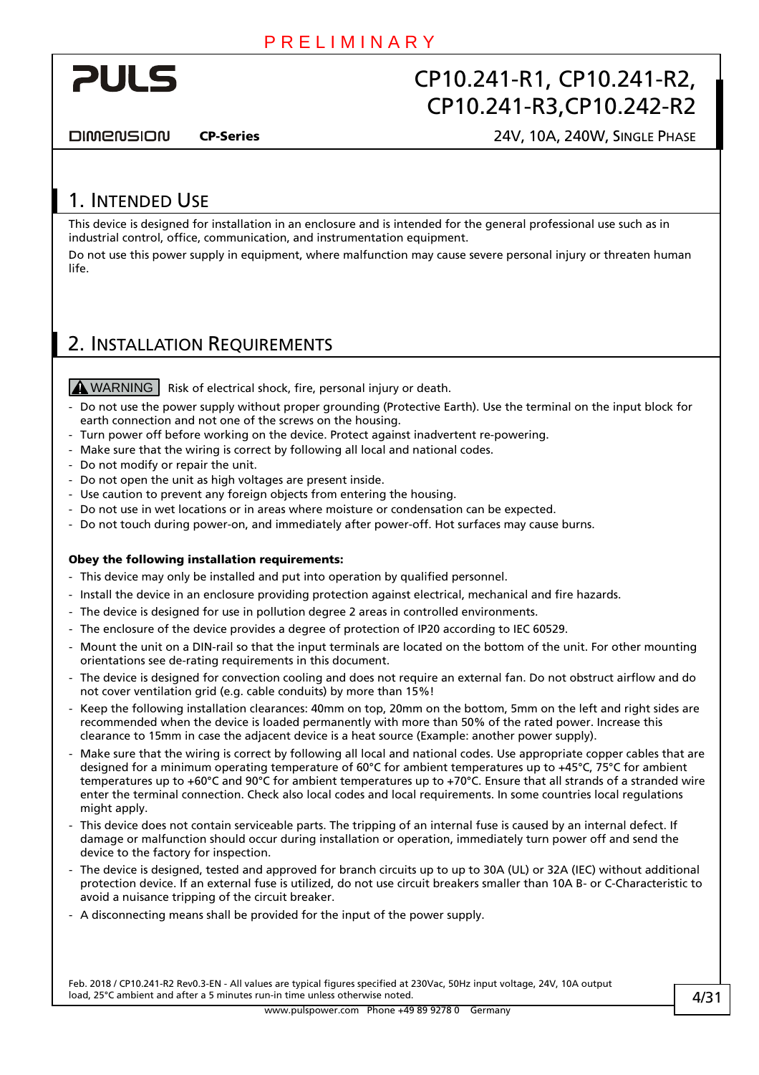<span id="page-3-0"></span>

**DIMENSION** 

CP-Series 24V, 10A, 240W, SINGLE PHASE

### 1. INTENDED USE

This device is designed for installation in an enclosure and is intended for the general professional use such as in industrial control, office, communication, and instrumentation equipment.

Do not use this power supply in equipment, where malfunction may cause severe personal injury or threaten human life.

### <span id="page-3-1"></span>2. INSTALLATION REQUIREMENTS

 $M$  WARNING  $\vert$  Risk of electrical shock, fire, personal injury or death.

- Do not use the power supply without proper grounding (Protective Earth). Use the terminal on the input block for earth connection and not one of the screws on the housing.
- Turn power off before working on the device. Protect against inadvertent re-powering.
- Make sure that the wiring is correct by following all local and national codes.
- Do not modify or repair the unit.
- Do not open the unit as high voltages are present inside.
- Use caution to prevent any foreign objects from entering the housing.
- Do not use in wet locations or in areas where moisture or condensation can be expected.
- Do not touch during power-on, and immediately after power-off. Hot surfaces may cause burns.

#### Obey the following installation requirements:

- This device may only be installed and put into operation by qualified personnel.
- Install the device in an enclosure providing protection against electrical, mechanical and fire hazards.
- The device is designed for use in pollution degree 2 areas in controlled environments.
- The enclosure of the device provides a degree of protection of IP20 according to IEC 60529.
- Mount the unit on a DIN-rail so that the input terminals are located on the bottom of the unit. For other mounting orientations see de-rating requirements in this document.
- The device is designed for convection cooling and does not require an external fan. Do not obstruct airflow and do not cover ventilation grid (e.g. cable conduits) by more than 15%!
- Keep the following installation clearances: 40mm on top, 20mm on the bottom, 5mm on the left and right sides are recommended when the device is loaded permanently with more than 50% of the rated power. Increase this clearance to 15mm in case the adjacent device is a heat source (Example: another power supply).
- Make sure that the wiring is correct by following all local and national codes. Use appropriate copper cables that are designed for a minimum operating temperature of 60°C for ambient temperatures up to +45°C, 75°C for ambient temperatures up to +60°C and 90°C for ambient temperatures up to +70°C. Ensure that all strands of a stranded wire enter the terminal connection. Check also local codes and local requirements. In some countries local regulations might apply.
- This device does not contain serviceable parts. The tripping of an internal fuse is caused by an internal defect. If damage or malfunction should occur during installation or operation, immediately turn power off and send the device to the factory for inspection.
- The device is designed, tested and approved for branch circuits up to up to 30A (UL) or 32A (IEC) without additional protection device. If an external fuse is utilized, do not use circuit breakers smaller than 10A B- or C-Characteristic to avoid a nuisance tripping of the circuit breaker.
- A disconnecting means shall be provided for the input of the power supply.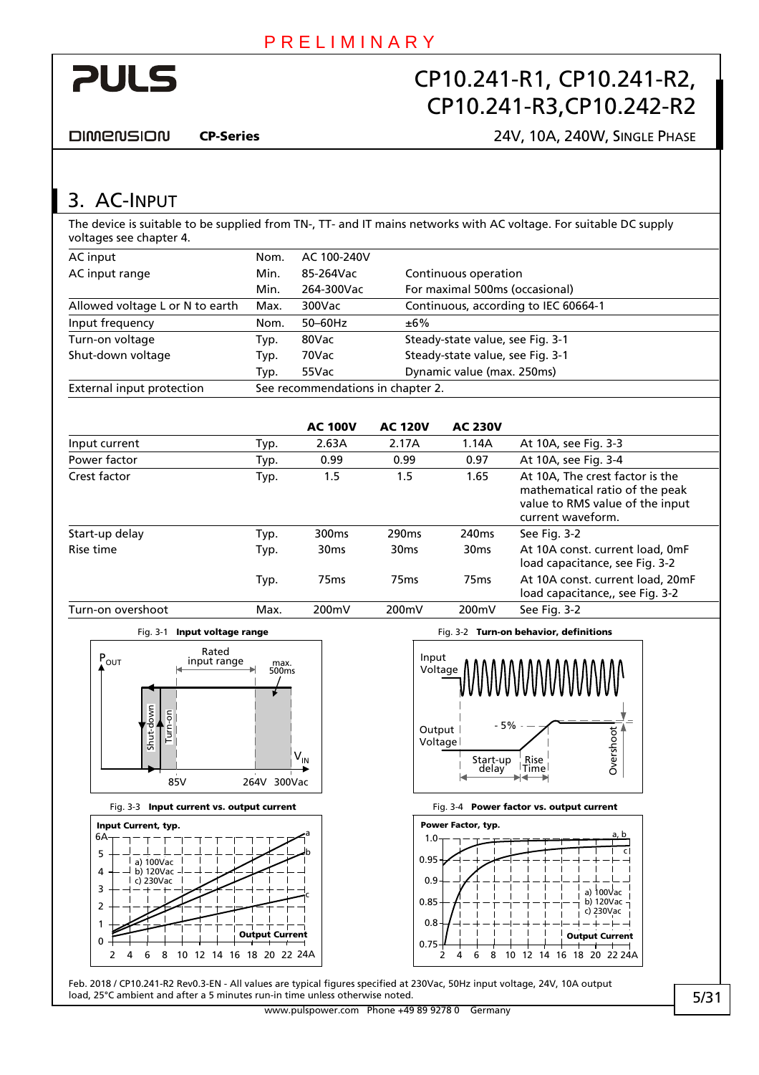<span id="page-4-0"></span>

**DIMENSION** 

#### CP-Series 24V, 10A, 240W, SINGLE PHASE

3. AC-INPUT

The device is suitable to be supplied from TN-, TT- and IT mains networks with AC voltage. For suitable DC supply voltages see chapter [4.](#page-5-1)

| AC input                        | Nom. | AC 100-240V                       |                                      |  |  |  |
|---------------------------------|------|-----------------------------------|--------------------------------------|--|--|--|
| AC input range                  | Min. | 85-264Vac                         | Continuous operation                 |  |  |  |
|                                 | Min. | 264-300Vac                        | For maximal 500ms (occasional)       |  |  |  |
| Allowed voltage L or N to earth | Max. | 300Vac                            | Continuous, according to IEC 60664-1 |  |  |  |
| Input frequency                 | Nom. | $50-60$ Hz                        | ±6%                                  |  |  |  |
| Turn-on voltage                 | Typ. | 80Vac                             | Steady-state value, see Fig. 3-1     |  |  |  |
| Shut-down voltage               | Typ. | 70Vac                             | Steady-state value, see Fig. 3-1     |  |  |  |
|                                 | Typ. | 55Vac                             | Dynamic value (max. 250ms)           |  |  |  |
| External input protection       |      | See recommendations in chapter 2. |                                      |  |  |  |

|                   |      | <b>AC 100V</b>    | <b>AC 120V</b>    | <b>AC 230V</b>    |                                                                                                                           |
|-------------------|------|-------------------|-------------------|-------------------|---------------------------------------------------------------------------------------------------------------------------|
| Input current     | Typ. | 2.63A             | 2.17A             | 1.14A             | At 10A, see Fig. 3-3                                                                                                      |
| Power factor      | Typ. | 0.99              | 0.99              | 0.97              | At 10A, see Fig. 3-4                                                                                                      |
| Crest factor      | Typ. | 1.5               | 1.5               | 1.65              | At 10A, The crest factor is the<br>mathematical ratio of the peak<br>value to RMS value of the input<br>current waveform. |
| Start-up delay    | Typ. | 300 <sub>ms</sub> | 290 <sub>ms</sub> | 240 <sub>ms</sub> | See Fig. 3-2                                                                                                              |
| Rise time         | Typ. | 30 <sub>ms</sub>  | 30 <sub>ms</sub>  | 30 <sub>ms</sub>  | At 10A const. current load, 0mF<br>load capacitance, see Fig. 3-2                                                         |
|                   | Typ. | 75 <sub>ms</sub>  | 75 <sub>ms</sub>  | 75 <sub>ms</sub>  | At 10A const. current load, 20mF<br>load capacitance,, see Fig. 3-2                                                       |
| Turn-on overshoot | Max. | 200mV             | 200mV             | 200mV             | See Fig. 3-2                                                                                                              |



<span id="page-4-1"></span>

#### Fig. 3-3 Input current vs. output current Fig. 3-4 Power factor vs. output current

<span id="page-4-2"></span>



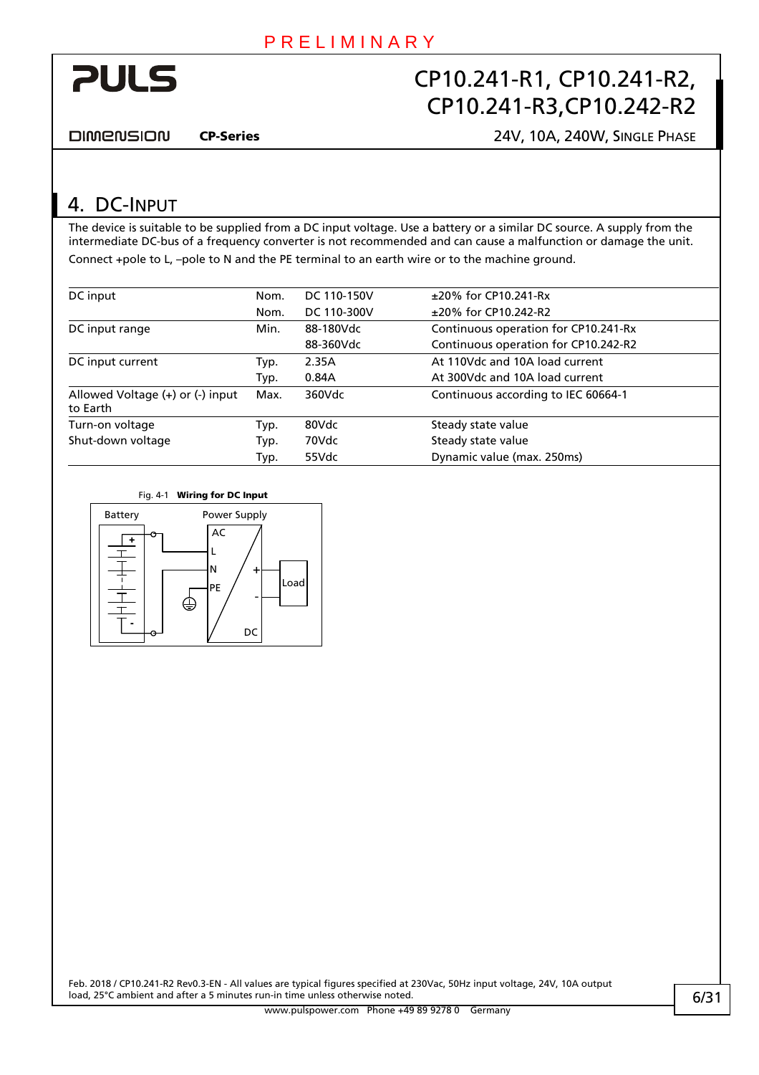<span id="page-5-0"></span>

DIMENSION

CP-Series 24V, 10A, 240W, SINGLE PHASE

### <span id="page-5-1"></span>4. DC-INPUT

The device is suitable to be supplied from a DC input voltage. Use a battery or a similar DC source. A supply from the intermediate DC-bus of a frequency converter is not recommended and can cause a malfunction or damage the unit. Connect +pole to L, –pole to N and the PE terminal to an earth wire or to the machine ground.

| DC input                                         | Nom. | DC 110-150V | $±20\%$ for CP10.241-Rx              |
|--------------------------------------------------|------|-------------|--------------------------------------|
|                                                  | Nom. | DC 110-300V | ±20% for CP10.242-R2                 |
| DC input range                                   | Min. | 88-180Vdc   | Continuous operation for CP10.241-Rx |
|                                                  |      | 88-360Vdc   | Continuous operation for CP10.242-R2 |
| DC input current                                 | Typ. | 2.35A       | At 110Vdc and 10A load current       |
|                                                  | Typ. | 0.84A       | At 300Vdc and 10A load current       |
| Allowed Voltage $(+)$ or $(.)$ input<br>to Earth | Max. | 360Vdc      | Continuous according to IEC 60664-1  |
| Turn-on voltage                                  | Typ. | 80Vdc       | Steady state value                   |
| Shut-down voltage                                | Typ. | 70Vdc       | Steady state value                   |
|                                                  | Typ. | 55Vdc       | Dynamic value (max. 250ms)           |



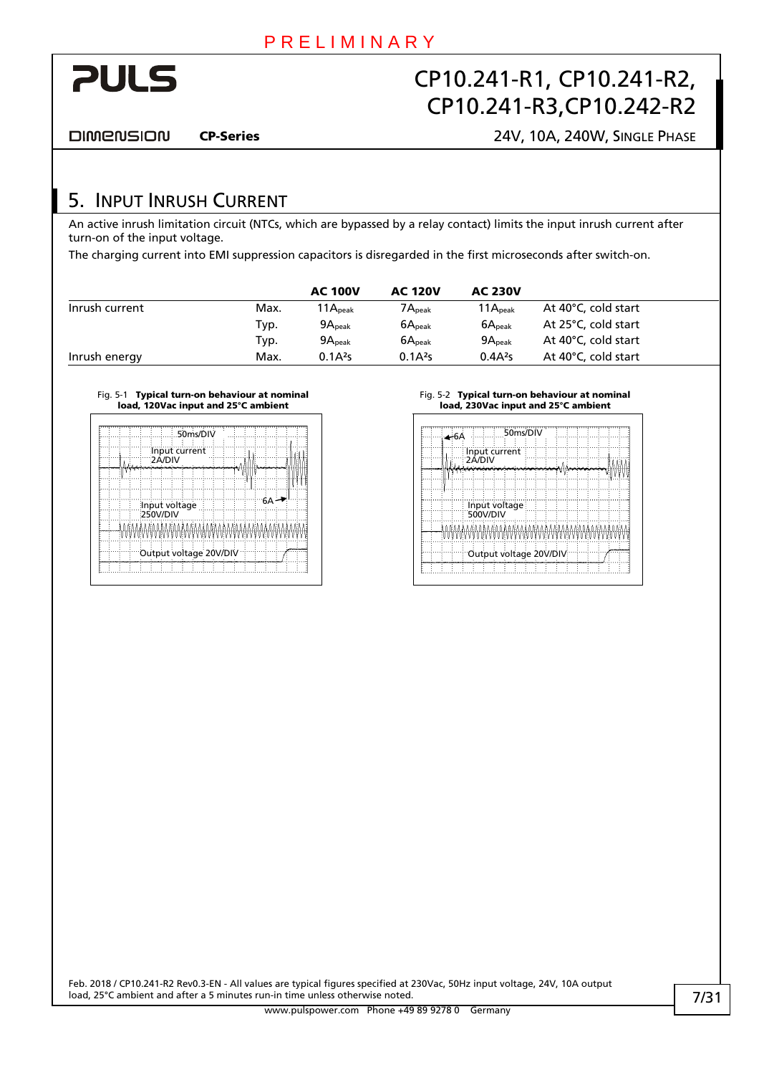<span id="page-6-0"></span>

DIMENSION

CP-Series 24V, 10A, 240W, SINGLE PHASE

### 5. INPUT INRUSH CURRENT

An active inrush limitation circuit (NTCs, which are bypassed by a relay contact) limits the input inrush current after turn-on of the input voltage.

The charging current into EMI suppression capacitors is disregarded in the first microseconds after switch-on.

|                |      | <b>AC 100V</b>      | <b>AC 120V</b>      | <b>AC 230V</b>      |                     |
|----------------|------|---------------------|---------------------|---------------------|---------------------|
| Inrush current | Max. | $11A_{\rm peak}$    | $7A_{\rm peak}$     | $11A_{\text{peak}}$ | At 40°C, cold start |
|                | Typ. | 9A <sub>peak</sub>  | 6A <sub>peak</sub>  | 6A <sub>peak</sub>  | At 25°C, cold start |
|                | Typ. | 9A <sub>peak</sub>  | 6A <sub>peak</sub>  | 9A <sub>peak</sub>  | At 40°C, cold start |
| Inrush energy  | Max. | 0.1A <sup>2</sup> S | 0.1A <sup>2</sup> S | $0.4A^{2}s$         | At 40°C, cold start |

#### Fig. 5-1 Typical turn-on behaviour at nominal load, 120Vac input and 25°C ambient

| 50ms/DIV                | 50ms/DIV                 |
|-------------------------|--------------------------|
| Input current<br>2A/DIV | Input current<br>∵2A/DI\ |
|                         |                          |
| Input voltage           | Input voltage            |
|                         |                          |
| Output voltage 20V/DIV  | Output voltage 20V/DIV   |
|                         |                          |

#### Fig. 5-2 Typical turn-on behaviour at nominal load, 230Vac input and 25°C ambient

| 4-6A                           | 50ms/DIV |  |  |  |
|--------------------------------|----------|--|--|--|
| Input current<br><b>2A/DIV</b> |          |  |  |  |
|                                |          |  |  |  |
|                                |          |  |  |  |
| Input voltage<br>500V/DIV      |          |  |  |  |
| MiMIMIMIMIMIMIMIMMAMIMIMIMIMIM |          |  |  |  |
| Output voltage 20V/DIV         |          |  |  |  |
|                                |          |  |  |  |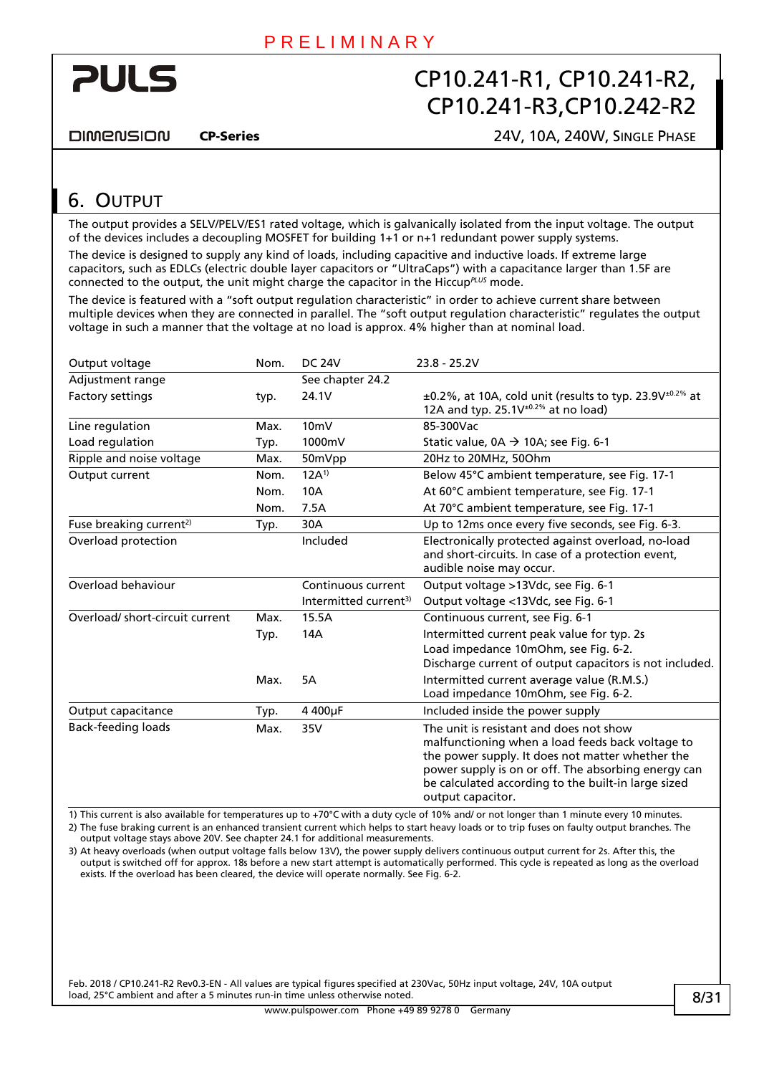<span id="page-7-0"></span>

**DIMENSION** 

CP-Series 24V, 10A, 240W, SINGLE PHASE

# <span id="page-7-1"></span>6. OUTPUT

The output provides a SELV/PELV/ES1 rated voltage, which is galvanically isolated from the input voltage. The output of the devices includes a decoupling MOSFET for building 1+1 or n+1 redundant power supply systems.

The device is designed to supply any kind of loads, including capacitive and inductive loads. If extreme large capacitors, such as EDLCs (electric double layer capacitors or "UltraCaps") with a capacitance larger than 1.5F are connected to the output, the unit might charge the capacitor in the Hiccup*PLUS* mode.

The device is featured with a "soft output regulation characteristic" in order to achieve current share between multiple devices when they are connected in parallel. The "soft output regulation characteristic" regulates the output voltage in such a manner that the voltage at no load is approx. 4% higher than at nominal load.

| Output voltage                      | Nom. | <b>DC 24V</b>                     | $23.8 - 25.2V$                                                                                                                                                                                                                                                                     |
|-------------------------------------|------|-----------------------------------|------------------------------------------------------------------------------------------------------------------------------------------------------------------------------------------------------------------------------------------------------------------------------------|
| Adjustment range                    |      | See chapter 24.2                  |                                                                                                                                                                                                                                                                                    |
| Factory settings                    | typ. | 24.1V                             | $\pm$ 0.2%, at 10A, cold unit (results to typ. 23.9V $\pm$ <sup>0.2%</sup> at<br>12A and typ. 25.1V $+0.2\%$ at no load)                                                                                                                                                           |
| Line regulation                     | Max. | 10 <sub>m</sub>                   | 85-300Vac                                                                                                                                                                                                                                                                          |
| Load regulation                     | Typ. | 1000mV                            | Static value, $0A \rightarrow 10A$ ; see Fig. 6-1                                                                                                                                                                                                                                  |
| Ripple and noise voltage            | Max. | 50mVpp                            | 20Hz to 20MHz, 50Ohm                                                                                                                                                                                                                                                               |
| Output current                      | Nom. | $12A^{1}$                         | Below 45°C ambient temperature, see Fig. 17-1                                                                                                                                                                                                                                      |
|                                     | Nom. | 10A                               | At 60°C ambient temperature, see Fig. 17-1                                                                                                                                                                                                                                         |
|                                     | Nom. | 7.5A                              | At 70°C ambient temperature, see Fig. 17-1                                                                                                                                                                                                                                         |
| Fuse breaking current <sup>2)</sup> | Typ. | 30A                               | Up to 12ms once every five seconds, see Fig. 6-3.                                                                                                                                                                                                                                  |
| Overload protection                 |      | Included                          | Electronically protected against overload, no-load<br>and short-circuits. In case of a protection event,<br>audible noise may occur.                                                                                                                                               |
| Overload behaviour                  |      | Continuous current                | Output voltage >13Vdc, see Fig. 6-1                                                                                                                                                                                                                                                |
|                                     |      | Intermitted current <sup>3)</sup> | Output voltage <13Vdc, see Fig. 6-1                                                                                                                                                                                                                                                |
| Overload/short-circuit current      | Max. | 15.5A                             | Continuous current, see Fig. 6-1                                                                                                                                                                                                                                                   |
|                                     | Typ. | 14A                               | Intermitted current peak value for typ. 2s                                                                                                                                                                                                                                         |
|                                     |      |                                   | Load impedance 10mOhm, see Fig. 6-2.                                                                                                                                                                                                                                               |
|                                     |      |                                   | Discharge current of output capacitors is not included.                                                                                                                                                                                                                            |
|                                     | Max. | 5A                                | Intermitted current average value (R.M.S.)                                                                                                                                                                                                                                         |
|                                     |      |                                   | Load impedance 10mOhm, see Fig. 6-2.                                                                                                                                                                                                                                               |
| Output capacitance                  | Typ. | 4 400µF                           | Included inside the power supply                                                                                                                                                                                                                                                   |
| <b>Back-feeding loads</b>           | Max. | 35V                               | The unit is resistant and does not show<br>malfunctioning when a load feeds back voltage to<br>the power supply. It does not matter whether the<br>power supply is on or off. The absorbing energy can<br>be calculated according to the built-in large sized<br>output capacitor. |

1) This current is also available for temperatures up to +70°C with a duty cycle of 10% and/ or not longer than 1 minute every 10 minutes. 2) The fuse braking current is an enhanced transient current which helps to start heavy loads or to trip fuses on faulty output branches. The output voltage stays above 20V. See chapter [24.1](#page-24-1) for additional measurements.

3) At heavy overloads (when output voltage falls below 13V), the power supply delivers continuous output current for 2s. After this, the output is switched off for approx. 18s before a new start attempt is automatically performed. This cycle is repeated as long as the overload exists. If the overload has been cleared, the device will operate normally. See [Fig. 6-2](#page-8-2).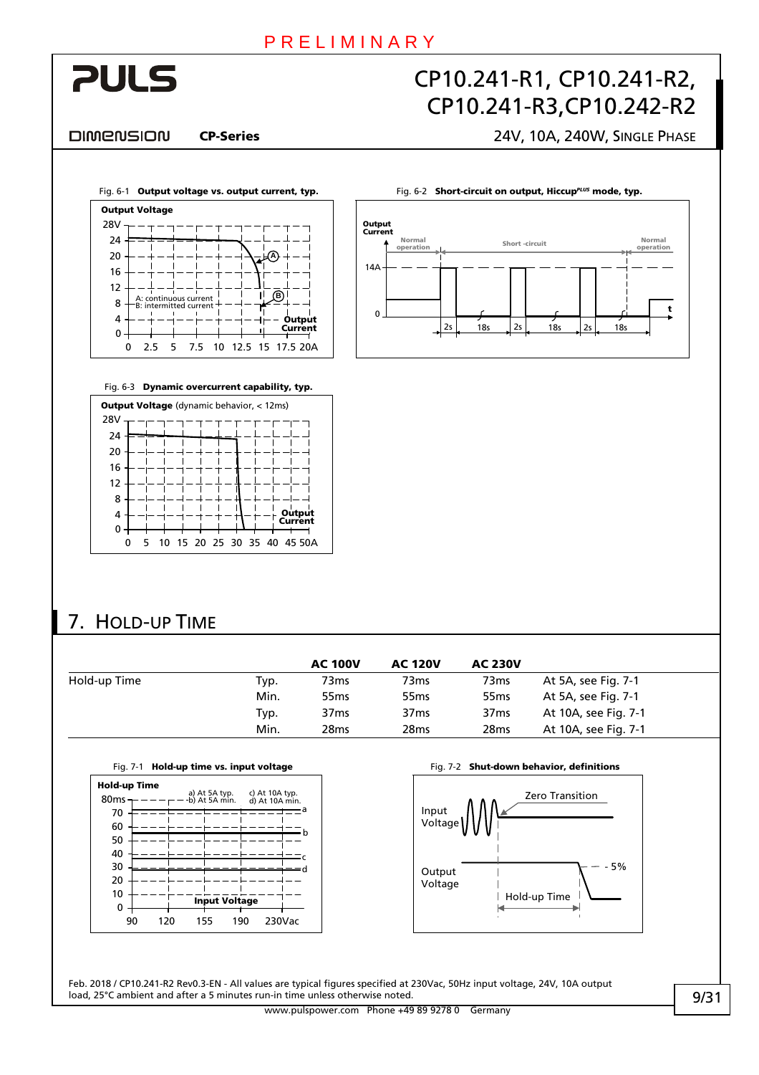Output Current

Norma

 $14\Delta$ 

 $\Omega$ 

# <span id="page-8-0"></span>**PULS**

# CP10.241-R1, CP10.241-R2, CP10.241-R3,CP10.242-R2

2s 18s 2s 18s 2s 18s

Short -circuit Normal operation Normal

#### DIMENSION

### CP-Series 24V, 10A, 240W, SINGLE PHASE

t

<span id="page-8-2"></span>

Fig. 6-3 Dynamic overcurrent capability, typ.

<span id="page-8-1"></span>

| <b>Output Voltage</b> (dynamic behavior, < 12ms) |  |   |  |  |  |  |  |  |                             |
|--------------------------------------------------|--|---|--|--|--|--|--|--|-----------------------------|
| 28V                                              |  |   |  |  |  |  |  |  |                             |
| 24                                               |  |   |  |  |  |  |  |  |                             |
| 20                                               |  |   |  |  |  |  |  |  |                             |
| 16                                               |  |   |  |  |  |  |  |  |                             |
| 12                                               |  |   |  |  |  |  |  |  |                             |
| 8                                                |  |   |  |  |  |  |  |  |                             |
| 4                                                |  |   |  |  |  |  |  |  | Output<br>Current           |
| 0                                                |  |   |  |  |  |  |  |  |                             |
|                                                  |  | 5 |  |  |  |  |  |  | 10 15 20 25 30 35 40 45 50A |

# 7. HOLD-UP TIME

|              |      | <b>AC 100V</b>   | <b>AC 120V</b>   | <b>AC 230V</b>   |                      |
|--------------|------|------------------|------------------|------------------|----------------------|
| Hold-up Time | Typ. | 73ms             | 73 <sub>ms</sub> | 73ms             | At 5A, see Fig. 7-1  |
|              | Min. | 55 <sub>ms</sub> | 55 <sub>ms</sub> | 55 <sub>ms</sub> | At 5A, see Fig. 7-1  |
|              | Typ. | 37 <sub>ms</sub> | 37 <sub>ms</sub> | 37 <sub>ms</sub> | At 10A, see Fig. 7-1 |
|              | Min. | 28 <sub>ms</sub> | 28 <sub>ms</sub> | 28 <sub>ms</sub> | At 10A, see Fig. 7-1 |

|  |  |  | Fig. 7-1 Hold-up time vs. input voltage |
|--|--|--|-----------------------------------------|
|--|--|--|-----------------------------------------|

<span id="page-8-3"></span>

Fig. 7-2 Shut-down behavior, definitions



Feb. 2018 / CP10.241-R2 Rev0.3-EN - All values are typical figures specified at 230Vac, 50Hz input voltage, 24V, 10A output load, 25°C ambient and after a 5 minutes run-in time unless otherwise noted.

www.pulspower.com Phone +49 89 9278 0 Germany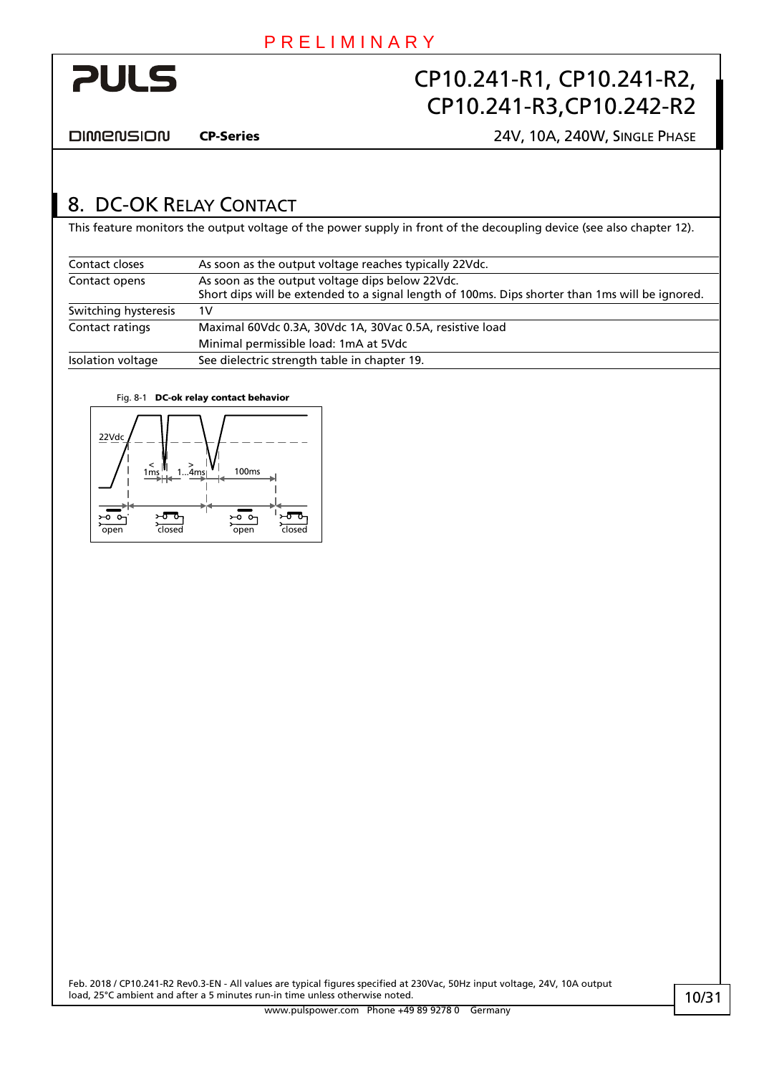<span id="page-9-0"></span>

**DIMENSION** 

CP-Series 24V, 10A, 240W, SINGLE PHASE

### <span id="page-9-1"></span>8. DC-OK RELAY CONTACT

This feature monitors the output voltage of the power supply in front of the decoupling device (see also chapter [12\)](#page-12-1).

| Contact closes       | As soon as the output voltage reaches typically 22Vdc.                                          |
|----------------------|-------------------------------------------------------------------------------------------------|
| Contact opens        | As soon as the output voltage dips below 22Vdc.                                                 |
|                      | Short dips will be extended to a signal length of 100ms. Dips shorter than 1ms will be ignored. |
| Switching hysteresis | 1V                                                                                              |
| Contact ratings      | Maximal 60Vdc 0.3A, 30Vdc 1A, 30Vac 0.5A, resistive load                                        |
|                      | Minimal permissible load: 1mA at 5Vdc                                                           |
| Isolation voltage    | See dielectric strength table in chapter 19.                                                    |

#### Fig. 8-1 DC-ok relay contact behavior

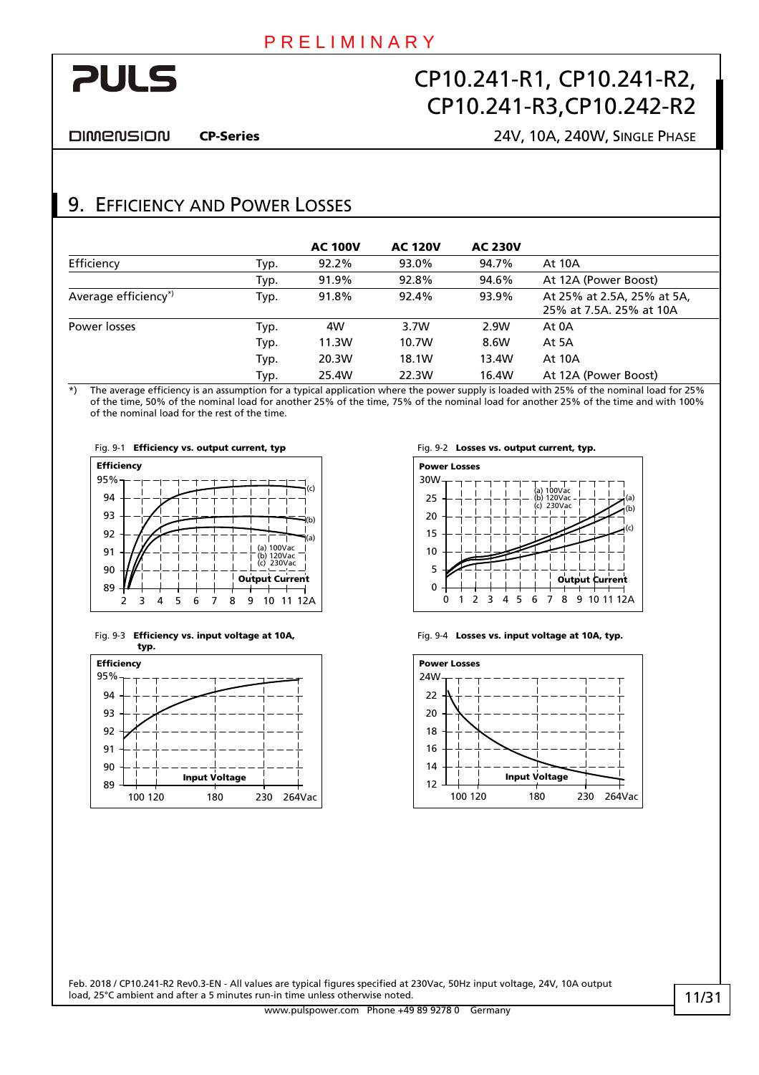# <span id="page-10-0"></span>**PULS**

# CP10.241-R1, CP10.241-R2, CP10.241-R3,CP10.242-R2

DIMENSION

#### CP-Series 24V, 10A, 240W, SINGLE PHASE

### 9. EFFICIENCY AND POWER LOSSES

|                      |      | <b>AC 100V</b> | <b>AC 120V</b> | <b>AC 230V</b> |                                                       |
|----------------------|------|----------------|----------------|----------------|-------------------------------------------------------|
| Efficiency           | Typ. | 92.2%          | 93.0%          | 94.7%          | <b>At 10A</b>                                         |
|                      | Typ. | 91.9%          | 92.8%          | 94.6%          | At 12A (Power Boost)                                  |
| Average efficiency*) | Typ. | 91.8%          | 92.4%          | 93.9%          | At 25% at 2.5A, 25% at 5A,<br>25% at 7.5A, 25% at 10A |
| Power losses         | Typ. | 4W             | 3.7W           | 2.9W           | At 0A                                                 |
|                      | Typ. | 11.3W          | 10.7W          | 8.6W           | At 5A                                                 |
|                      | Typ. | 20.3W          | 18.1W          | 13.4W          | <b>At 10A</b>                                         |
|                      | Typ. | 25.4W          | 22.3W          | 16.4W          | At 12A (Power Boost)                                  |

\*) The average efficiency is an assumption for a typical application where the power supply is loaded with 25% of the nominal load for 25% of the time, 50% of the nominal load for another 25% of the time, 75% of the nominal load for another 25% of the time and with 100% of the nominal load for the rest of the time.











Fig. 9-4 Losses vs. input voltage at 10A, typ.

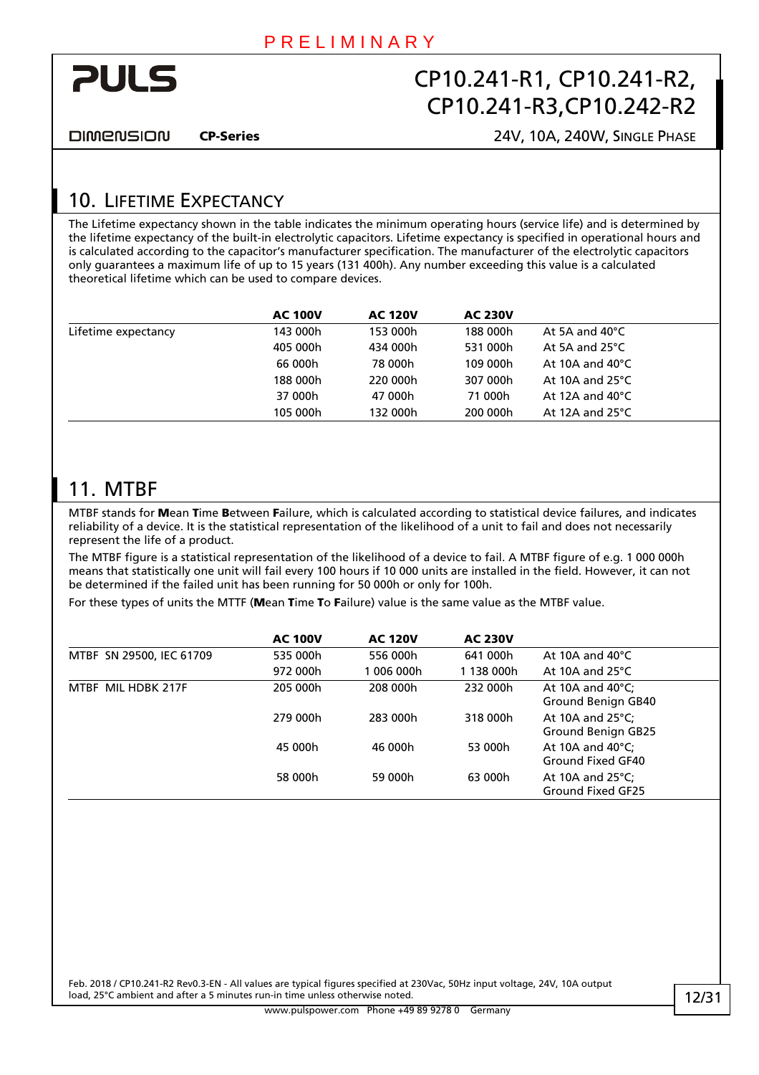<span id="page-11-0"></span>

**DIMENSION** 

CP-Series 24V, 10A, 240W, SINGLE PHASE

# 10. LIFETIME EXPECTANCY

The Lifetime expectancy shown in the table indicates the minimum operating hours (service life) and is determined by the lifetime expectancy of the built-in electrolytic capacitors. Lifetime expectancy is specified in operational hours and is calculated according to the capacitor's manufacturer specification. The manufacturer of the electrolytic capacitors only guarantees a maximum life of up to 15 years (131 400h). Any number exceeding this value is a calculated theoretical lifetime which can be used to compare devices.

|                     | <b>AC 100V</b> | <b>AC 120V</b> | <b>AC 230V</b> |                           |
|---------------------|----------------|----------------|----------------|---------------------------|
| Lifetime expectancy | 143 000h       | 153 000h       | 188 000h       | At 5A and $40^{\circ}$ C  |
|                     | 405 000h       | 434 000h       | 531 000h       | At 5A and $25^{\circ}$ C  |
|                     | 66 000h        | 78 000h        | 109 000h       | At 10A and $40^{\circ}$ C |
|                     | 188 000h       | 220 000h       | 307 000h       | At 10A and $25^{\circ}$ C |
|                     | 37 000h        | 47 000h        | 71 000h        | At 12A and $40^{\circ}$ C |
|                     | 105 000h       | 132 000h       | 200 000h       | At 12A and $25^{\circ}$ C |
|                     |                |                |                |                           |

### 11. MTBF

MTBF stands for Mean Time Between Failure, which is calculated according to statistical device failures, and indicates reliability of a device. It is the statistical representation of the likelihood of a unit to fail and does not necessarily represent the life of a product.

The MTBF figure is a statistical representation of the likelihood of a device to fail. A MTBF figure of e.g. 1 000 000h means that statistically one unit will fail every 100 hours if 10 000 units are installed in the field. However, it can not be determined if the failed unit has been running for 50 000h or only for 100h.

For these types of units the MTTF (Mean Time To Failure) value is the same value as the MTBF value.

|                          | <b>AC 100V</b> | <b>AC 120V</b> | <b>AC 230V</b> |                                                         |
|--------------------------|----------------|----------------|----------------|---------------------------------------------------------|
| MTBF SN 29500, IEC 61709 | 535 000h       | 556 000h       | 641 000h       | At 10A and $40^{\circ}$ C                               |
|                          | 972 000h       | 006 000h       | 1 138 000h     | At 10A and $25^{\circ}$ C                               |
| MTRF MIL HDRK 217F       | 205 000h       | 208 000h       | 232 000h       | At 10A and $40^{\circ}$ C;<br>Ground Benign GB40        |
|                          | 279 000h       | 283 000h       | 318 000h       | At 10A and $25^{\circ}$ C;<br><b>Ground Benign GB25</b> |
|                          | 45 000h        | 46 000h        | 53 000h        | At 10A and $40^{\circ}$ C;<br>Ground Fixed GF40         |
|                          | 58 000h        | 59 000h        | 63 000h        | At 10A and $25^{\circ}$ C;<br>Ground Fixed GF25         |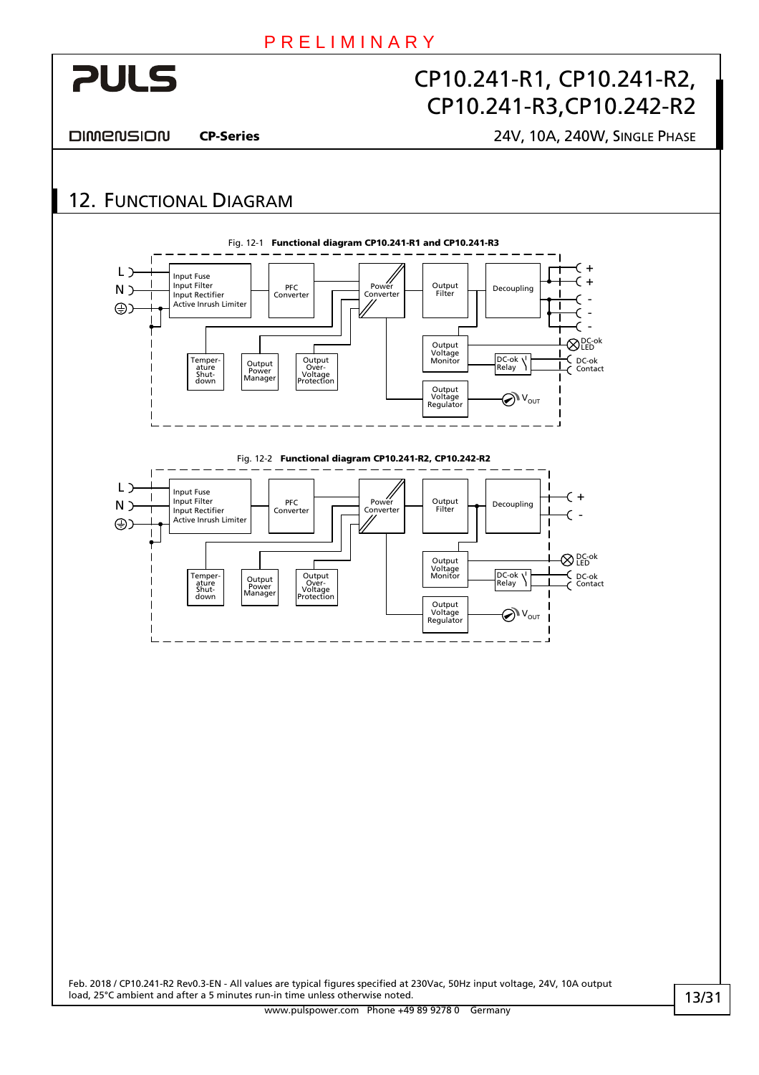<span id="page-12-0"></span>

DIMENSION

CP-Series 24V, 10A, 240W, SINGLE PHASE

# <span id="page-12-1"></span>12. FUNCTIONAL DIAGRAM

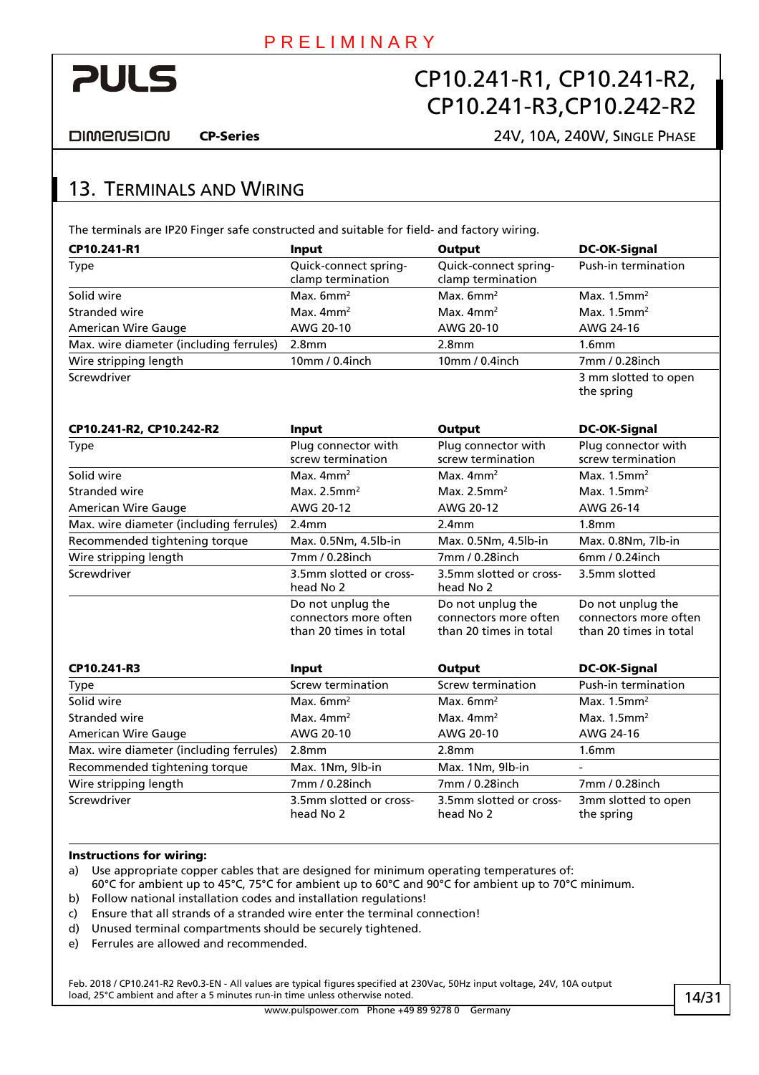<span id="page-13-0"></span>

**DIMENSION** 

#### CP-Series 24V, 10A, 240W, SINGLE PHASE

### 13. TERMINALS AND WIRING

The terminals are IP20 Finger safe constructed and suitable for field- and factory wiring.

| CP10.241-R1                             | Input                                                                | Output                                                               | <b>DC-OK-Signal</b>                                                  |
|-----------------------------------------|----------------------------------------------------------------------|----------------------------------------------------------------------|----------------------------------------------------------------------|
| <b>Type</b>                             | Quick-connect spring-<br>clamp termination                           | Quick-connect spring-<br>clamp termination                           | Push-in termination                                                  |
| Solid wire                              | Max. $6mm^2$                                                         | Max. $6mm2$                                                          | Max. $1.5$ mm <sup>2</sup>                                           |
| Stranded wire                           | Max. $4mm2$                                                          | Max. $4mm2$                                                          | Max. $1.5$ mm <sup>2</sup>                                           |
| <b>American Wire Gauge</b>              | AWG 20-10                                                            | AWG 20-10                                                            | AWG 24-16                                                            |
| Max. wire diameter (including ferrules) | 2.8 <sub>mm</sub>                                                    | 2.8 <sub>mm</sub>                                                    | 1.6mm                                                                |
| Wire stripping length                   | 10mm / 0.4inch                                                       | 10mm / 0.4inch                                                       | 7mm / 0.28inch                                                       |
| Screwdriver                             |                                                                      |                                                                      | 3 mm slotted to open<br>the spring                                   |
| CP10.241-R2, CP10.242-R2                | Input                                                                | <b>Output</b>                                                        | <b>DC-OK-Signal</b>                                                  |
| <b>Type</b>                             | Plug connector with<br>screw termination                             | Plug connector with<br>screw termination                             | Plug connector with<br>screw termination                             |
| Solid wire                              | Max. $4mm2$                                                          | Max. $4mm2$                                                          | Max. $1.5$ mm <sup>2</sup>                                           |
| Stranded wire                           | Max. $2.5$ mm <sup>2</sup>                                           | Max. $2.5$ mm <sup>2</sup>                                           | Max. $1.5$ mm <sup>2</sup>                                           |
| <b>American Wire Gauge</b>              | AWG 20-12                                                            | AWG 20-12                                                            | AWG 26-14                                                            |
| Max. wire diameter (including ferrules) | 2.4mm                                                                | 2.4mm                                                                | 1.8 <sub>mm</sub>                                                    |
| Recommended tightening torque           | Max. 0.5Nm, 4.5lb-in                                                 | Max. 0.5Nm, 4.5lb-in                                                 | Max. 0.8Nm, 7lb-in                                                   |
| Wire stripping length                   | 7mm / 0.28inch                                                       | 7mm / 0.28inch                                                       | 6mm / 0.24inch                                                       |
| Screwdriver                             | 3.5mm slotted or cross-<br>head No 2                                 | 3.5mm slotted or cross-<br>head No 2                                 | 3.5mm slotted                                                        |
|                                         | Do not unplug the<br>connectors more often<br>than 20 times in total | Do not unplug the<br>connectors more often<br>than 20 times in total | Do not unplug the<br>connectors more often<br>than 20 times in total |
| CP10.241-R3                             | Input                                                                | <b>Output</b>                                                        | <b>DC-OK-Signal</b>                                                  |
| <b>Type</b>                             | Screw termination                                                    | Screw termination                                                    | Push-in termination                                                  |
| Solid wire                              | Max. $6mm^2$                                                         | Max. $6mm2$                                                          | Max. $1.5$ mm <sup>2</sup>                                           |
| Stranded wire                           | Max. $4mm2$                                                          | Max. $4mm2$                                                          | Max. $1.5$ mm <sup>2</sup>                                           |
| <b>American Wire Gauge</b>              | AWG 20-10                                                            | AWG 20-10                                                            | AWG 24-16                                                            |
| Max. wire diameter (including ferrules) | 2.8 <sub>mm</sub>                                                    | 2.8 <sub>mm</sub>                                                    | 1.6 <sub>mm</sub>                                                    |

| Recommended tightening torque | Max. 1Nm, 9lb-in                     | Max. 1Nm, 9lb-in                     | $\overline{\phantom{0}}$          |
|-------------------------------|--------------------------------------|--------------------------------------|-----------------------------------|
| Wire stripping length         | 7mm / 0.28inch                       | 7mm / 0.28inch                       | 7mm / 0.28inch                    |
| Screwdriver                   | 3.5mm slotted or cross-<br>head No 2 | 3.5mm slotted or cross-<br>head No 2 | 3mm slotted to open<br>the spring |

#### Instructions for wiring:

a) Use appropriate copper cables that are designed for minimum operating temperatures of:

60°C for ambient up to 45°C, 75°C for ambient up to 60°C and 90°C for ambient up to 70°C minimum. b) Follow national installation codes and installation regulations!

- c) Ensure that all strands of a stranded wire enter the terminal connection!
- d) Unused terminal compartments should be securely tightened.
- e) Ferrules are allowed and recommended.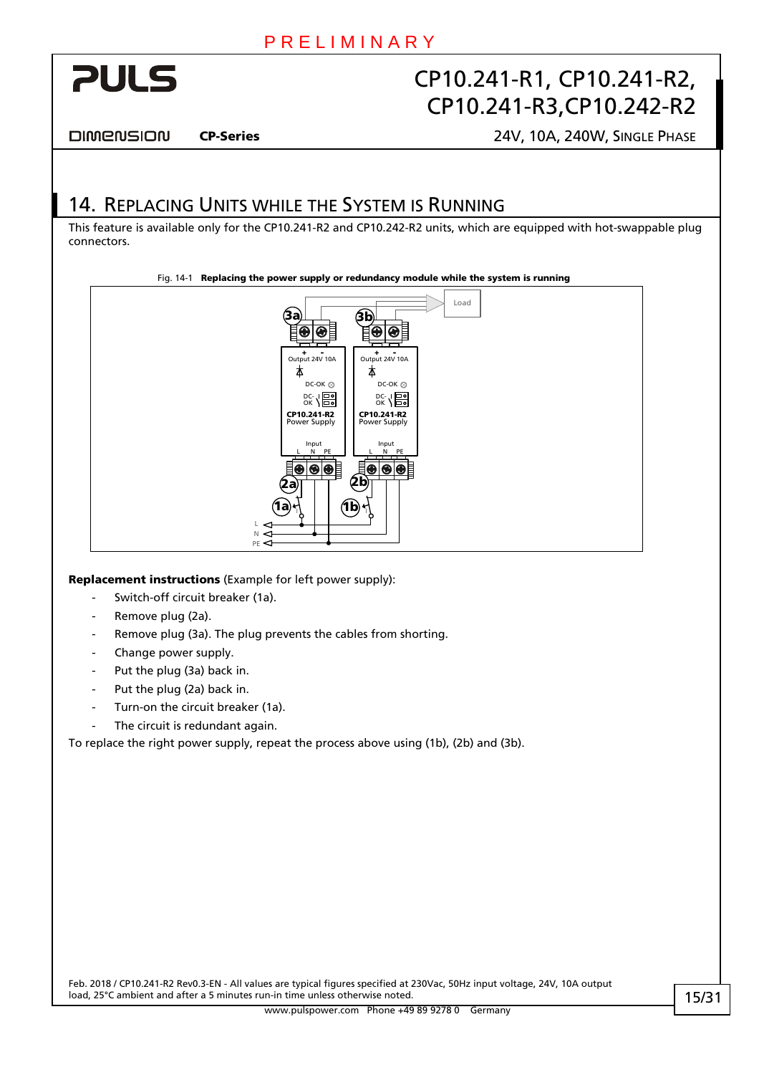<span id="page-14-0"></span>

DIMENSION

CP-Series 24V, 10A, 240W, SINGLE PHASE

### 14. REPLACING UNITS WHILE THE SYSTEM IS RUNNING

This feature is available only for the CP10.241-R2 and CP10.242-R2 units, which are equipped with hot-swappable plug connectors.



Replacement instructions (Example for left power supply):

- Switch-off circuit breaker (1a).
- Remove plug (2a).
- Remove plug (3a). The plug prevents the cables from shorting.
- Change power supply.
- Put the plug (3a) back in.
- Put the plug (2a) back in.
- Turn-on the circuit breaker (1a).
- The circuit is redundant again.

To replace the right power supply, repeat the process above using (1b), (2b) and (3b).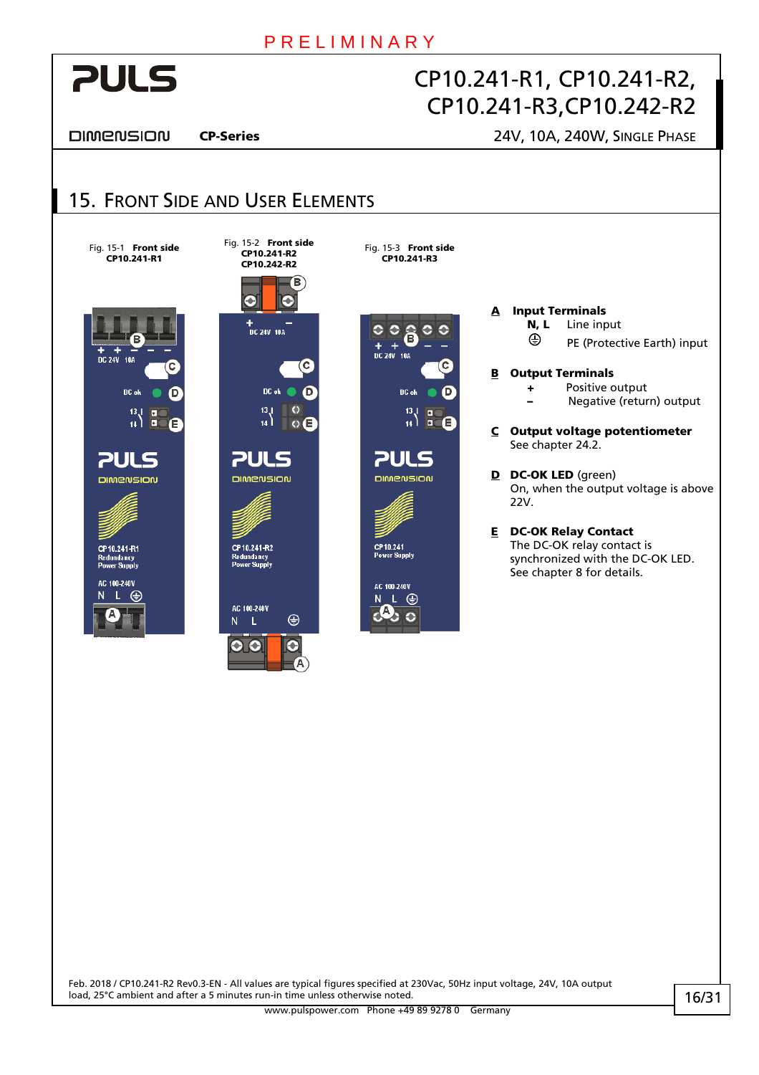

DIMENSION

<span id="page-15-0"></span>**PULS** 

**PULS DIMENSION** 

CP10.241-R1

#### CP-Series 24V, 10A, 240W, SINGLE PHASE

#### 15. FRONT SIDE AND USER ELEMENTS Fig. 15-2 Front side Fig. 15-1 **Front side** Fig. 15-3 Front side CP10.241-R2 CP10.241-R1 CP10.241-R3 CP10.242-R2 Ϊв G +<br>DC 24V 10A  $\bullet$  $\circ$ â Г  $+$  +  $\frac{1}{106}$ 7c DC of DC ok  $13.1$  $\overline{c}$

 $\circ$  E **PULS** DIMENSION CP10.241-R2 Redundancy<br>Power Supply

 $\oplus$ 

G

AC 100.240V

 $\overline{N}$  $\mathsf{L}$ ၀ ၀

 $\begin{bmatrix} 13 \\ 14 \end{bmatrix}$ **PULS DIMENSION** 

CP10.241<br>Power Supply AC 100-240V  $N L \oplus$ 

A Input Terminals

N, L Line input

- PE (Protective Earth) input
- B Output Terminals

 + Positive output – Negative (return) output

C Output voltage potentiometer See chapter [24.2](#page-25-1).

D DC-OK LED (green) On, when the output voltage is above 22V.

E DC-OK Relay Contact The DC-OK relay contact is synchronized with the DC-OK LED. See chapter [8](#page-9-1) for details.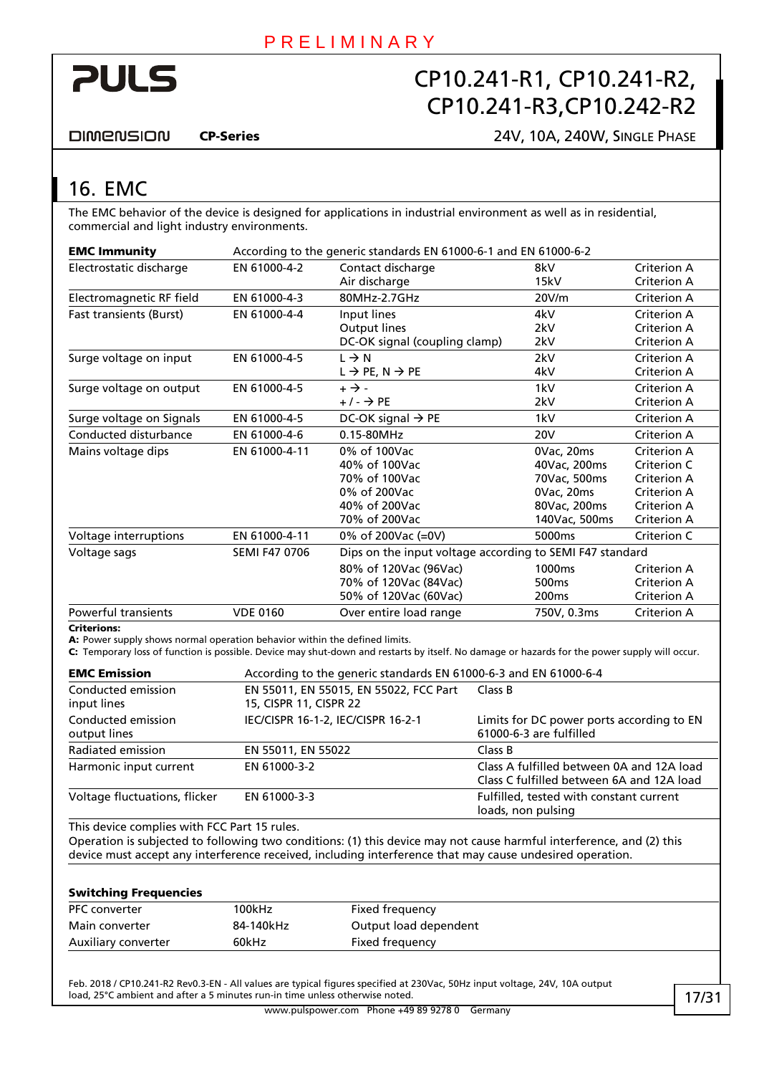<span id="page-16-0"></span>

**DIMENSION** 

#### CP-Series 24V, 10A, 240W, SINGLE PHASE

### <span id="page-16-1"></span>16. EMC

The EMC behavior of the device is designed for applications in industrial environment as well as in residential, commercial and light industry environments.

| <b>EMC Immunity</b>            | According to the generic standards EN 61000-6-1 and EN 61000-6-2 |                                                          |                    |                    |
|--------------------------------|------------------------------------------------------------------|----------------------------------------------------------|--------------------|--------------------|
| Electrostatic discharge        | EN 61000-4-2                                                     | Contact discharge                                        | 8kV                | Criterion A        |
|                                |                                                                  | Air discharge                                            | 15kV               | <b>Criterion A</b> |
| Electromagnetic RF field       | EN 61000-4-3                                                     | 80MHz-2.7GHz                                             | 20V/m              | Criterion A        |
| <b>Fast transients (Burst)</b> | EN 61000-4-4                                                     | Input lines                                              | 4kV                | Criterion A        |
|                                |                                                                  | Output lines                                             | 2kV                | Criterion A        |
|                                |                                                                  | DC-OK signal (coupling clamp)                            | 2kV                | Criterion A        |
| Surge voltage on input         | EN 61000-4-5                                                     | $L \rightarrow N$                                        | 2kV                | Criterion A        |
|                                |                                                                  | $L \rightarrow PE, N \rightarrow PE$                     | 4kV                | <b>Criterion A</b> |
| Surge voltage on output        | EN 61000-4-5                                                     | $+ \rightarrow -$                                        | 1kV                | Criterion A        |
|                                |                                                                  | $+/ \rightarrow$ PE                                      | 2kV                | <b>Criterion A</b> |
| Surge voltage on Signals       | EN 61000-4-5                                                     | DC-OK signal $\rightarrow$ PE                            | 1kV                | Criterion A        |
| Conducted disturbance          | EN 61000-4-6                                                     | 0.15-80MHz                                               | <b>20V</b>         | Criterion A        |
| Mains voltage dips             | EN 61000-4-11                                                    | 0% of 100Vac                                             | 0Vac, 20ms         | Criterion A        |
|                                |                                                                  | 40% of 100Vac                                            | 40Vac, 200ms       | Criterion C        |
|                                |                                                                  | 70% of 100Vac                                            | 70Vac, 500ms       | <b>Criterion A</b> |
|                                |                                                                  | 0% of 200Vac                                             | 0Vac, 20ms         | <b>Criterion A</b> |
|                                |                                                                  | 40% of 200Vac                                            | 80Vac, 200ms       | <b>Criterion A</b> |
|                                |                                                                  | 70% of 200Vac                                            | 140Vac, 500ms      | <b>Criterion A</b> |
| Voltage interruptions          | EN 61000-4-11                                                    | 0% of 200Vac (=0V)                                       | 5000ms             | Criterion C        |
| Voltage sags                   | <b>SEMI F47 0706</b>                                             | Dips on the input voltage according to SEMI F47 standard |                    |                    |
|                                |                                                                  | 80% of 120Vac (96Vac)                                    | 1000 <sub>ms</sub> | Criterion A        |
|                                |                                                                  | 70% of 120Vac (84Vac)                                    | 500 <sub>ms</sub>  | <b>Criterion A</b> |
|                                |                                                                  | 50% of 120Vac (60Vac)                                    | 200 <sub>ms</sub>  | <b>Criterion A</b> |
| Powerful transients            | <b>VDE 0160</b>                                                  | Over entire load range                                   | 750V, 0.3ms        | <b>Criterion A</b> |

#### Criterions:

A: Power supply shows normal operation behavior within the defined limits.

C: Temporary loss of function is possible. Device may shut-down and restarts by itself. No damage or hazards for the power supply will occur.

| <b>EMC Emission</b>                | According to the generic standards EN 61000-6-3 and EN 61000-6-4 |                                                                                        |  |  |
|------------------------------------|------------------------------------------------------------------|----------------------------------------------------------------------------------------|--|--|
| Conducted emission<br>input lines  | EN 55011, EN 55015, EN 55022, FCC Part<br>15, CISPR 11, CISPR 22 | Class B                                                                                |  |  |
| Conducted emission<br>output lines | IEC/CISPR 16-1-2, IEC/CISPR 16-2-1                               | Limits for DC power ports according to EN<br>61000-6-3 are fulfilled                   |  |  |
| Radiated emission                  | EN 55011, EN 55022                                               | Class B                                                                                |  |  |
| Harmonic input current             | EN 61000-3-2                                                     | Class A fulfilled between 0A and 12A load<br>Class C fulfilled between 6A and 12A load |  |  |
| Voltage fluctuations, flicker      | EN 61000-3-3                                                     | Fulfilled, tested with constant current<br>loads, non pulsing                          |  |  |

This device complies with FCC Part 15 rules.

Operation is subjected to following two conditions: (1) this device may not cause harmful interference, and (2) this device must accept any interference received, including interference that may cause undesired operation.

#### Switching Frequencies

| <b>PFC</b> converter | 100kHz    | Fixed frequency       |  |
|----------------------|-----------|-----------------------|--|
| Main converter       | 84-140kHz | Output load dependent |  |
| Auxiliary converter  | 60kHz     | Fixed frequency       |  |
|                      |           |                       |  |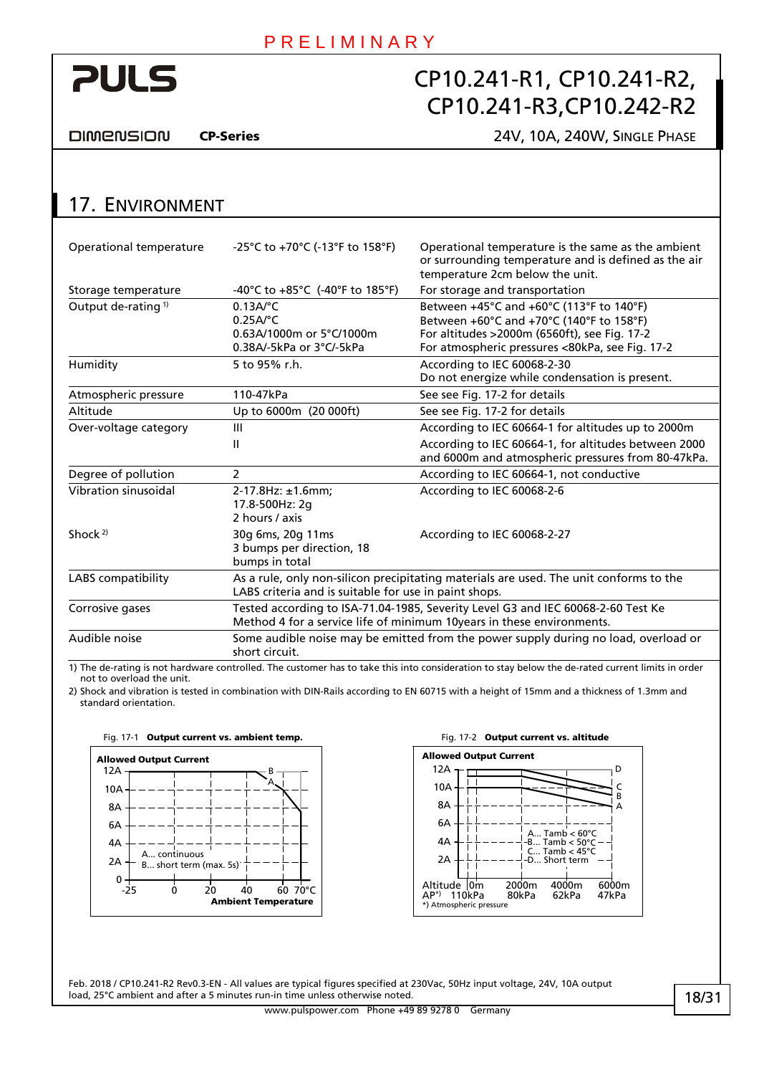<span id="page-17-0"></span>

DIMENSION

CP-Series 24V, 10A, 240W, SINGLE PHASE

|  | 17. ENVIRONMENT |
|--|-----------------|
|--|-----------------|

| Operational temperature        | -25°C to +70°C (-13°F to 158°F)                                                                                                                           | Operational temperature is the same as the ambient<br>or surrounding temperature and is defined as the air<br>temperature 2cm below the unit.                                           |  |  |
|--------------------------------|-----------------------------------------------------------------------------------------------------------------------------------------------------------|-----------------------------------------------------------------------------------------------------------------------------------------------------------------------------------------|--|--|
| Storage temperature            | -40°C to +85°C (-40°F to 185°F)                                                                                                                           | For storage and transportation                                                                                                                                                          |  |  |
| Output de-rating <sup>1)</sup> | $0.13A$ <sup>o</sup> C<br>$0.25A$ <sup>o</sup> C<br>0.63A/1000m or 5°C/1000m<br>0.38A/-5kPa or 3°C/-5kPa                                                  | Between +45°C and +60°C (113°F to 140°F)<br>Between +60°C and +70°C (140°F to 158°F)<br>For altitudes >2000m (6560ft), see Fig. 17-2<br>For atmospheric pressures <80kPa, see Fig. 17-2 |  |  |
| Humidity                       | 5 to 95% r.h.                                                                                                                                             | According to IEC 60068-2-30<br>Do not energize while condensation is present.                                                                                                           |  |  |
| Atmospheric pressure           | 110-47kPa                                                                                                                                                 | See see Fig. 17-2 for details                                                                                                                                                           |  |  |
| Altitude                       | Up to 6000m (20 000ft)                                                                                                                                    | See see Fig. 17-2 for details                                                                                                                                                           |  |  |
| Over-voltage category          | Ш                                                                                                                                                         | According to IEC 60664-1 for altitudes up to 2000m                                                                                                                                      |  |  |
|                                | Ш                                                                                                                                                         | According to IEC 60664-1, for altitudes between 2000<br>and 6000m and atmospheric pressures from 80-47kPa.                                                                              |  |  |
| Degree of pollution            | 2                                                                                                                                                         | According to IEC 60664-1, not conductive                                                                                                                                                |  |  |
| Vibration sinusoidal           | $2-17.8$ Hz: $\pm 1.6$ mm:<br>17.8-500Hz: 2g<br>2 hours / axis                                                                                            | According to IEC 60068-2-6                                                                                                                                                              |  |  |
| Shock <sup>2)</sup>            | 30g 6ms, 20g 11ms<br>3 bumps per direction, 18<br>bumps in total                                                                                          | According to IEC 60068-2-27                                                                                                                                                             |  |  |
| LABS compatibility             | As a rule, only non-silicon precipitating materials are used. The unit conforms to the<br>LABS criteria and is suitable for use in paint shops.           |                                                                                                                                                                                         |  |  |
| Corrosive gases                | Tested according to ISA-71.04-1985, Severity Level G3 and IEC 60068-2-60 Test Ke<br>Method 4 for a service life of minimum 10years in these environments. |                                                                                                                                                                                         |  |  |
| Audible noise                  | Some audible noise may be emitted from the power supply during no load, overload or<br>short circuit.                                                     |                                                                                                                                                                                         |  |  |

1) The de-rating is not hardware controlled. The customer has to take this into consideration to stay below the de-rated current limits in order not to overload the unit.

2) Shock and vibration is tested in combination with DIN-Rails according to EN 60715 with a height of 15mm and a thickness of 1.3mm and standard orientation.

<span id="page-17-1"></span>



Feb. 2018 / CP10.241-R2 Rev0.3-EN - All values are typical figures specified at 230Vac, 50Hz input voltage, 24V, 10A output load, 25°C ambient and after a 5 minutes run-in time unless otherwise noted.

www.pulspower.com Phone +49 89 9278 0 Germany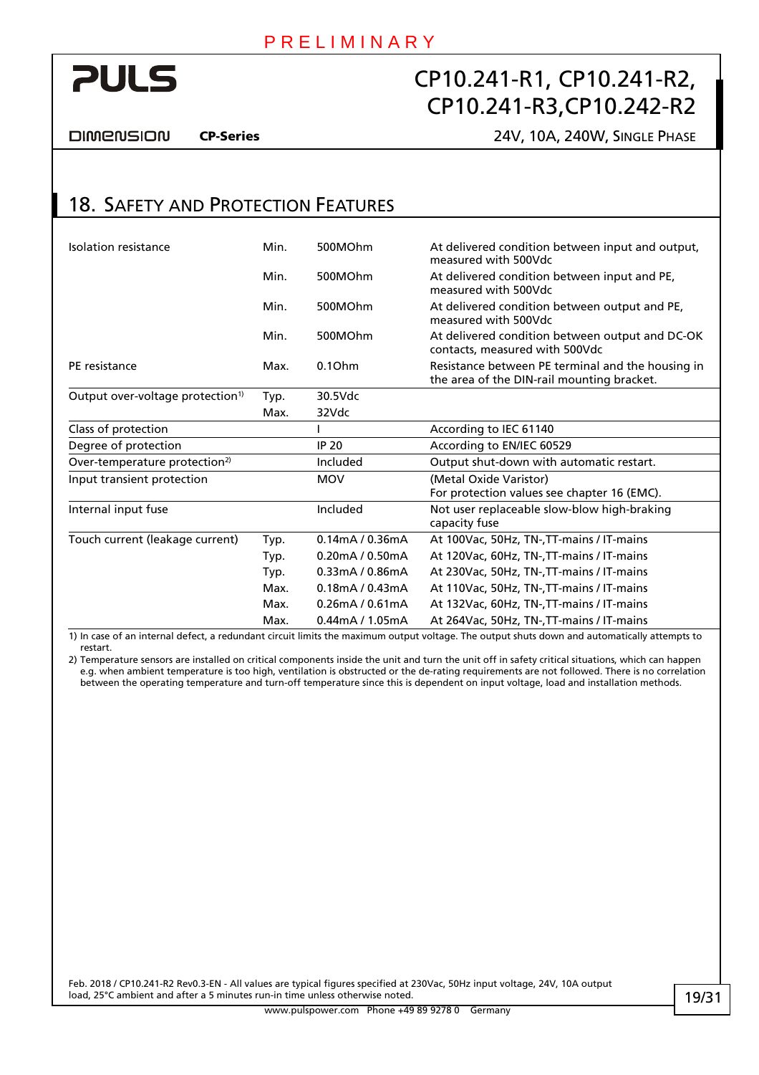<span id="page-18-0"></span>

DIMENSION

#### CP-Series 24V, 10A, 240W, SINGLE PHASE

### 18. SAFETY AND PROTECTION FEATURES

| Isolation resistance                         | Min. | 500MOhm            | At delivered condition between input and output,<br>measured with 500Vdc                        |
|----------------------------------------------|------|--------------------|-------------------------------------------------------------------------------------------------|
|                                              | Min. | 500MOhm            | At delivered condition between input and PE,<br>measured with 500Vdc                            |
|                                              | Min. | 500MOhm            | At delivered condition between output and PE,<br>measured with 500Vdc                           |
|                                              | Min. | 500MOhm            | At delivered condition between output and DC-OK<br>contacts, measured with 500Vdc               |
| PE resistance                                | Max. | 0.10 <sub>hm</sub> | Resistance between PE terminal and the housing in<br>the area of the DIN-rail mounting bracket. |
| Output over-voltage protection <sup>1)</sup> | Typ. | 30.5Vdc            |                                                                                                 |
|                                              | Max. | 32Vdc              |                                                                                                 |
| Class of protection                          |      |                    | According to IEC 61140                                                                          |
| Degree of protection                         |      | <b>IP 20</b>       | According to EN/IEC 60529                                                                       |
| Over-temperature protection <sup>2)</sup>    |      | Included           | Output shut-down with automatic restart.                                                        |
| Input transient protection                   |      | <b>MOV</b>         | (Metal Oxide Varistor)                                                                          |
|                                              |      |                    | For protection values see chapter 16 (EMC).                                                     |
| Internal input fuse                          |      | Included           | Not user replaceable slow-blow high-braking<br>capacity fuse                                    |
| Touch current (leakage current)              | Typ. | 0.14mA / 0.36mA    | At 100Vac, 50Hz, TN-, TT-mains / IT-mains                                                       |
|                                              | Typ. | 0.20mA / 0.50mA    | At 120Vac, 60Hz, TN-, TT-mains / IT-mains                                                       |
|                                              | Typ. | 0.33mA / 0.86mA    | At 230Vac, 50Hz, TN-, TT-mains / IT-mains                                                       |
|                                              | Max. | 0.18mA / 0.43mA    | At 110Vac, 50Hz, TN-, TT-mains / IT-mains                                                       |
|                                              | Max. | 0.26mA / 0.61mA    | At 132Vac, 60Hz, TN-, TT-mains / IT-mains                                                       |
|                                              | Max. | $0.44$ mA / 1.05mA | At 264 Vac, 50Hz, TN-, TT-mains / IT-mains                                                      |

1) In case of an internal defect, a redundant circuit limits the maximum output voltage. The output shuts down and automatically attempts to restart.

2) Temperature sensors are installed on critical components inside the unit and turn the unit off in safety critical situations, which can happen e.g. when ambient temperature is too high, ventilation is obstructed or the de-rating requirements are not followed. There is no correlation between the operating temperature and turn-off temperature since this is dependent on input voltage, load and installation methods.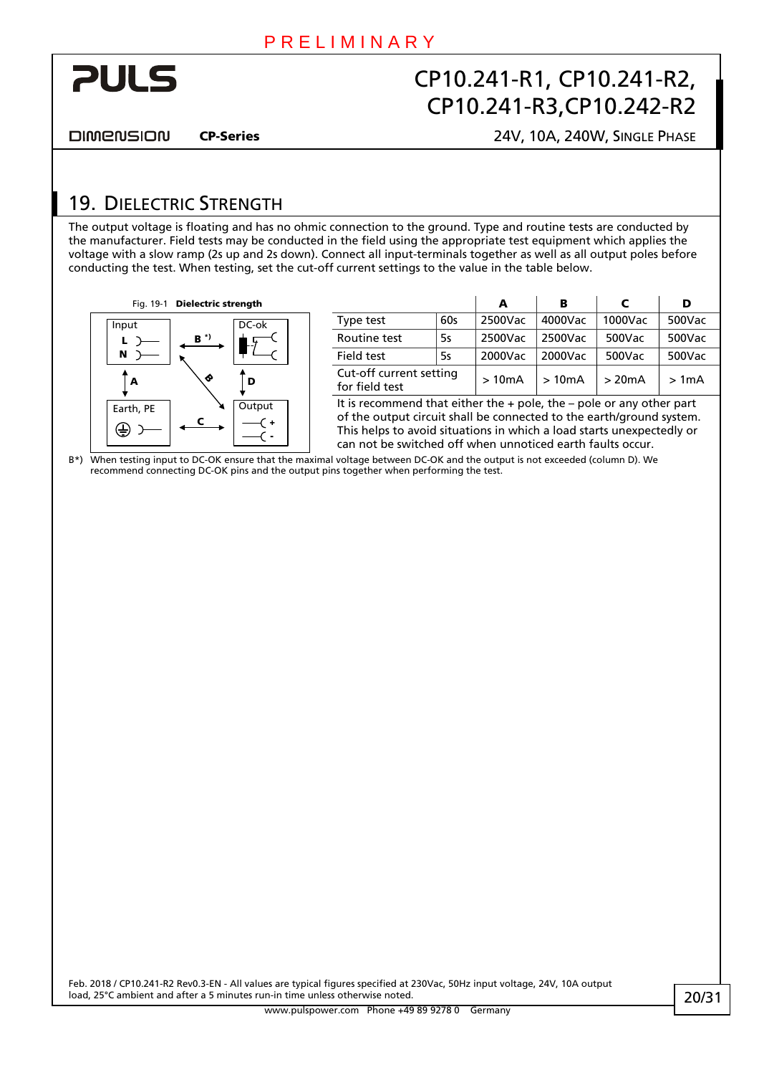<span id="page-19-0"></span>

**DIMENSION** 

CP-Series 24V, 10A, 240W, SINGLE PHASE

### <span id="page-19-1"></span>19. DIELECTRIC STRENGTH

The output voltage is floating and has no ohmic connection to the ground. Type and routine tests are conducted by the manufacturer. Field tests may be conducted in the field using the appropriate test equipment which applies the voltage with a slow ramp (2s up and 2s down). Connect all input-terminals together as well as all output poles before conducting the test. When testing, set the cut-off current settings to the value in the table below.



| Fig. 19-1 | Dielectric strength |                   |                                           |           |         | в       |         |        |
|-----------|---------------------|-------------------|-------------------------------------------|-----------|---------|---------|---------|--------|
| ıt        |                     | DC-ok             | Type test                                 | 60s       | 2500Vac | 4000Vac | 1000Vac | 500Vac |
|           | $B^*$               |                   | Routine test                              | <b>5s</b> | 2500Vac | 2500Vac | 500Vac  | 500Vac |
|           |                     | <b>Field test</b> | <b>5s</b>                                 | 2000Vac   | 2000Vac | 500Vac  | 500Vac  |        |
| A         |                     | D                 | Cut-off current setting<br>for field test |           | >10mA   | >10mA   | >20mA   | > 1mA  |

It is recommend that either the  $+$  pole, the  $-$  pole or any other part of the output circuit shall be connected to the earth/ground system. This helps to avoid situations in which a load starts unexpectedly or can not be switched off when unnoticed earth faults occur.

B\*) When testing input to DC-OK ensure that the maximal voltage between DC-OK and the output is not exceeded (column D). We recommend connecting DC-OK pins and the output pins together when performing the test.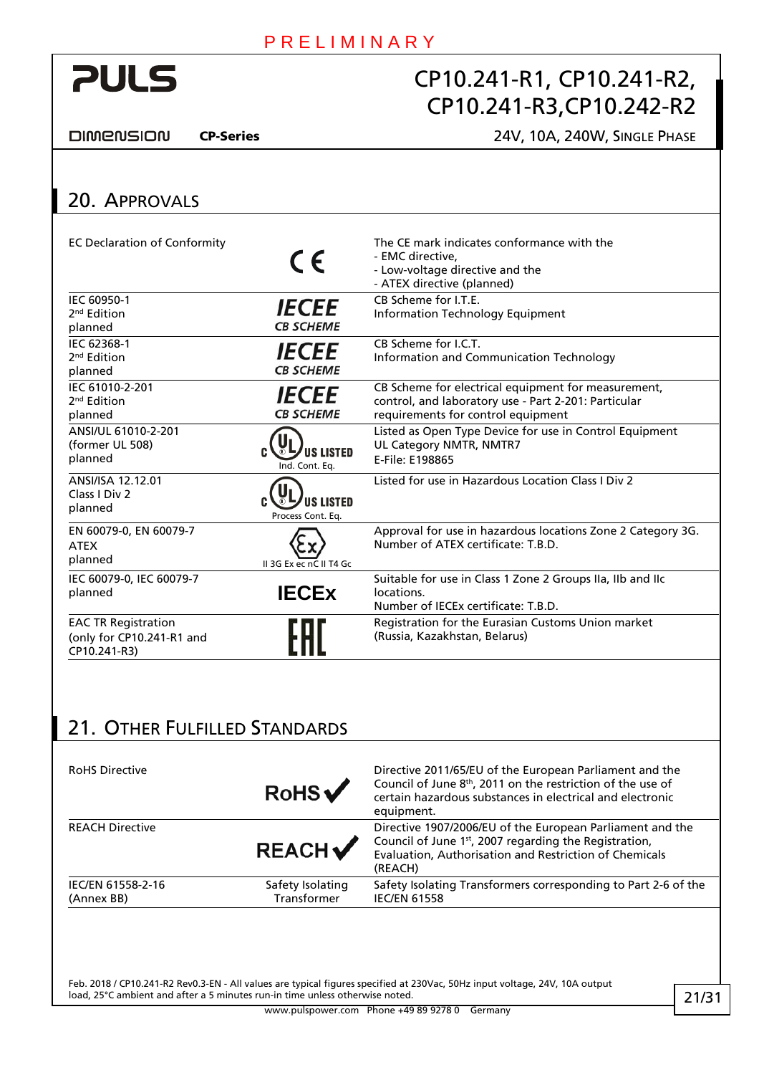<span id="page-20-1"></span>

**DIMENSION** 

### CP-Series 24V, 10A, 240W, SINGLE PHASE

<span id="page-20-0"></span>

| 20. APPROVALS                                                           |                                         |                                                                                                                                                   |
|-------------------------------------------------------------------------|-----------------------------------------|---------------------------------------------------------------------------------------------------------------------------------------------------|
| <b>EC Declaration of Conformity</b>                                     | $\epsilon$                              | The CE mark indicates conformance with the<br>- EMC directive,<br>- Low-voltage directive and the<br>- ATEX directive (planned)                   |
| IEC 60950-1<br>2 <sup>nd</sup> Edition<br>planned                       | <i><b>IECEE</b></i><br><b>CB SCHEME</b> | CB Scheme for LT.E.<br><b>Information Technology Equipment</b>                                                                                    |
| IEC 62368-1<br>2 <sup>nd</sup> Edition<br>planned                       | <b>IECEE</b><br><b>CB SCHEME</b>        | CB Scheme for LC.T.<br>Information and Communication Technology                                                                                   |
| IEC 61010-2-201<br>2 <sup>nd</sup> Edition<br>planned                   | <b>IECEE</b><br><b>CB SCHEME</b>        | CB Scheme for electrical equipment for measurement,<br>control, and laboratory use - Part 2-201: Particular<br>requirements for control equipment |
| ANSI/UL 61010-2-201<br>(former UL 508)<br>planned                       | <b>US LISTED</b><br>Ind. Cont. Eq.      | Listed as Open Type Device for use in Control Equipment<br>UL Category NMTR, NMTR7<br>E-File: E198865                                             |
| ANSI/ISA 12.12.01<br>Class I Div 2<br>planned                           | <b>US LISTED</b><br>Process Cont. Eq.   | Listed for use in Hazardous Location Class LDiv 2                                                                                                 |
| EN 60079-0, EN 60079-7<br><b>ATEX</b><br>planned                        | II 3G Ex ec nC II T4 Gc                 | Approval for use in hazardous locations Zone 2 Category 3G.<br>Number of ATEX certificate: T.B.D.                                                 |
| IEC 60079-0, IEC 60079-7<br>planned                                     | <b>IECEX</b>                            | Suitable for use in Class 1 Zone 2 Groups IIa, IIb and IIc<br>locations.<br>Number of IECEx certificate: T.B.D.                                   |
| <b>EAC TR Registration</b><br>(only for CP10.241-R1 and<br>CP10.241-R3) |                                         | Registration for the Eurasian Customs Union market<br>(Russia, Kazakhstan, Belarus)                                                               |

# 21. OTHER FULFILLED STANDARDS

| <b>RoHS Directive</b>           | RoHs                            | Directive 2011/65/EU of the European Parliament and the<br>Council of June 8 <sup>th</sup> , 2011 on the restriction of the use of<br>certain hazardous substances in electrical and electronic<br>equipment. |
|---------------------------------|---------------------------------|---------------------------------------------------------------------------------------------------------------------------------------------------------------------------------------------------------------|
| <b>REACH Directive</b>          | <b>REACH</b>                    | Directive 1907/2006/EU of the European Parliament and the<br>Council of June 1st, 2007 regarding the Registration,<br>Evaluation, Authorisation and Restriction of Chemicals<br>(REACH)                       |
| IEC/EN 61558-2-16<br>(Annex BB) | Safety Isolating<br>Transformer | Safety Isolating Transformers corresponding to Part 2-6 of the<br><b>IEC/EN 61558</b>                                                                                                                         |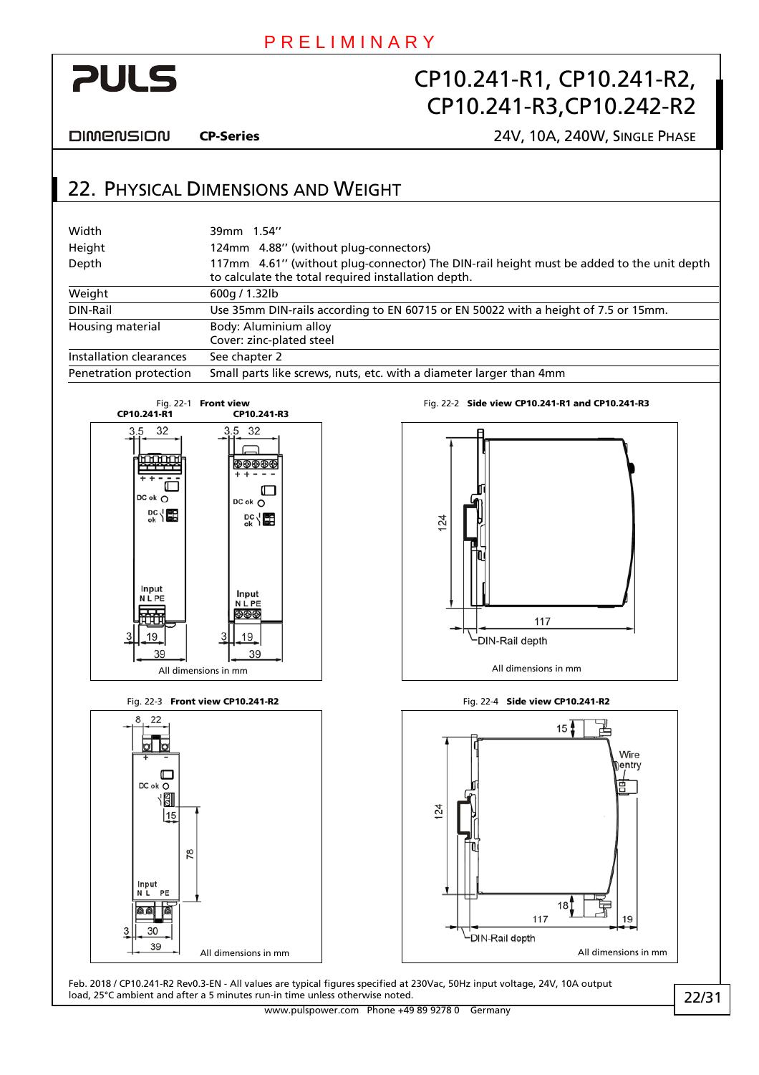<span id="page-21-0"></span>

**DIMENSION** 

Input

39

CP-Series 24V, 10A, 240W, SINGLE PHASE

### 22. PHYSICAL DIMENSIONS AND WEIGHT

| Width                                                                                 | 39mm 1.54"                                                                                               |                                                                                                                                                 |  |  |  |  |
|---------------------------------------------------------------------------------------|----------------------------------------------------------------------------------------------------------|-------------------------------------------------------------------------------------------------------------------------------------------------|--|--|--|--|
| Height                                                                                |                                                                                                          | 124mm 4.88" (without plug-connectors)                                                                                                           |  |  |  |  |
| Depth                                                                                 |                                                                                                          | 117mm 4.61" (without plug-connector) The DIN-rail height must be added to the unit depth<br>to calculate the total required installation depth. |  |  |  |  |
| Weight                                                                                | 600g / 1.32lb                                                                                            |                                                                                                                                                 |  |  |  |  |
| DIN-Rail                                                                              |                                                                                                          | Use 35mm DIN-rails according to EN 60715 or EN 50022 with a height of 7.5 or 15mm.                                                              |  |  |  |  |
| Housing material                                                                      | Body: Aluminium alloy<br>Cover: zinc-plated steel                                                        |                                                                                                                                                 |  |  |  |  |
| Installation clearances                                                               | See chapter 2                                                                                            |                                                                                                                                                 |  |  |  |  |
| Penetration protection                                                                |                                                                                                          | Small parts like screws, nuts, etc. with a diameter larger than 4mm                                                                             |  |  |  |  |
| CP10.241-R1                                                                           | Fig. 22-1 Front view<br>CP10.241-R3                                                                      | Fig. 22-2 Side view CP10.241-R1 and CP10.241-R3                                                                                                 |  |  |  |  |
| 32<br>3.5<br>DC ok O<br>$\frac{DC}{OK} \sqrt{CD}$<br>Input<br><b>NLPE</b><br>19<br>39 | 3.5<br>32<br>୭ଈଈଈ<br>$DC ok$ $O$<br>ᅆ<br>Input<br><b>NLPE</b><br>9®®<br>19<br>39<br>All dimensions in mm | 124<br>117<br>DIN-Rail depth<br>All dimensions in mm                                                                                            |  |  |  |  |
|                                                                                       | Fig. 22-3 Front view CP10.241-R2                                                                         | Fig. 22-4 Side view CP10.241-R2                                                                                                                 |  |  |  |  |
| ╓<br>DC ok O<br>191<br>15                                                             |                                                                                                          | 15 <sup>1</sup><br>Wire<br>entry)<br>$^{24}$                                                                                                    |  |  |  |  |

All dimensions in mm All dimensions in mm

18

 $19$ 

117

└DIN-Rail depth

Feb. 2018 / CP10.241-R2 Rev0.3-EN - All values are typical figures specified at 230Vac, 50Hz input voltage, 24V, 10A output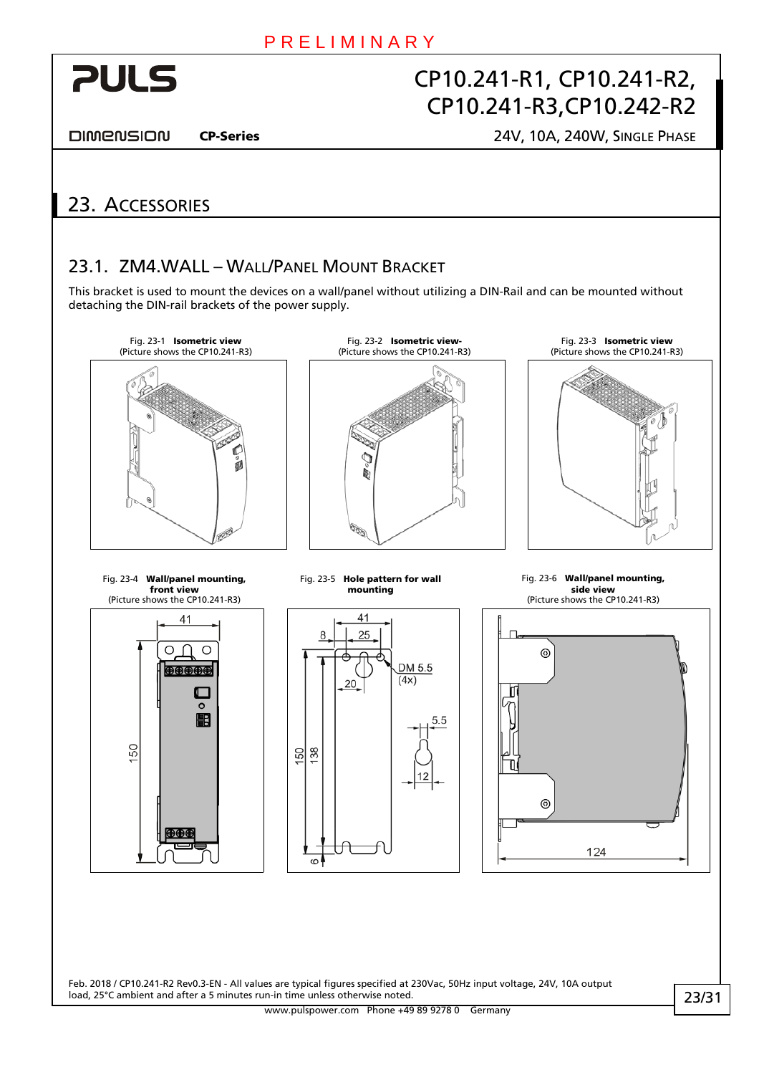<span id="page-22-0"></span>

DIMENSION

#### CP-Series 24V, 10A, 240W, SINGLE PHASE

### 23. ACCESSORIES

### 23.1. ZM4.WALL – WALL/PANEL MOUNT BRACKET

This bracket is used to mount the devices on a wall/panel without utilizing a DIN-Rail and can be mounted without detaching the DIN-rail brackets of the power supply.

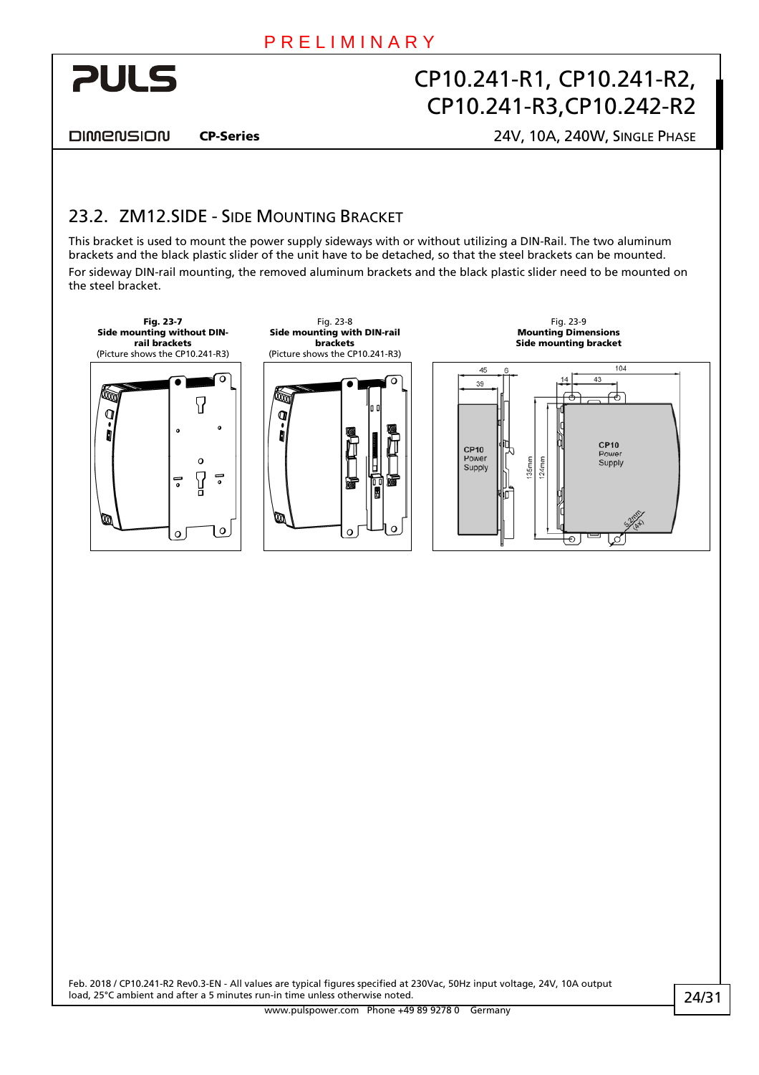DIMENSION

<span id="page-23-0"></span>**PULS** 

CP-Series 24V, 10A, 240W, SINGLE PHASE

### 23.2. ZM12.SIDE - SIDE MOUNTING BRACKET

This bracket is used to mount the power supply sideways with or without utilizing a DIN-Rail. The two aluminum brackets and the black plastic slider of the unit have to be detached, so that the steel brackets can be mounted. For sideway DIN-rail mounting, the removed aluminum brackets and the black plastic slider need to be mounted on the steel bracket.

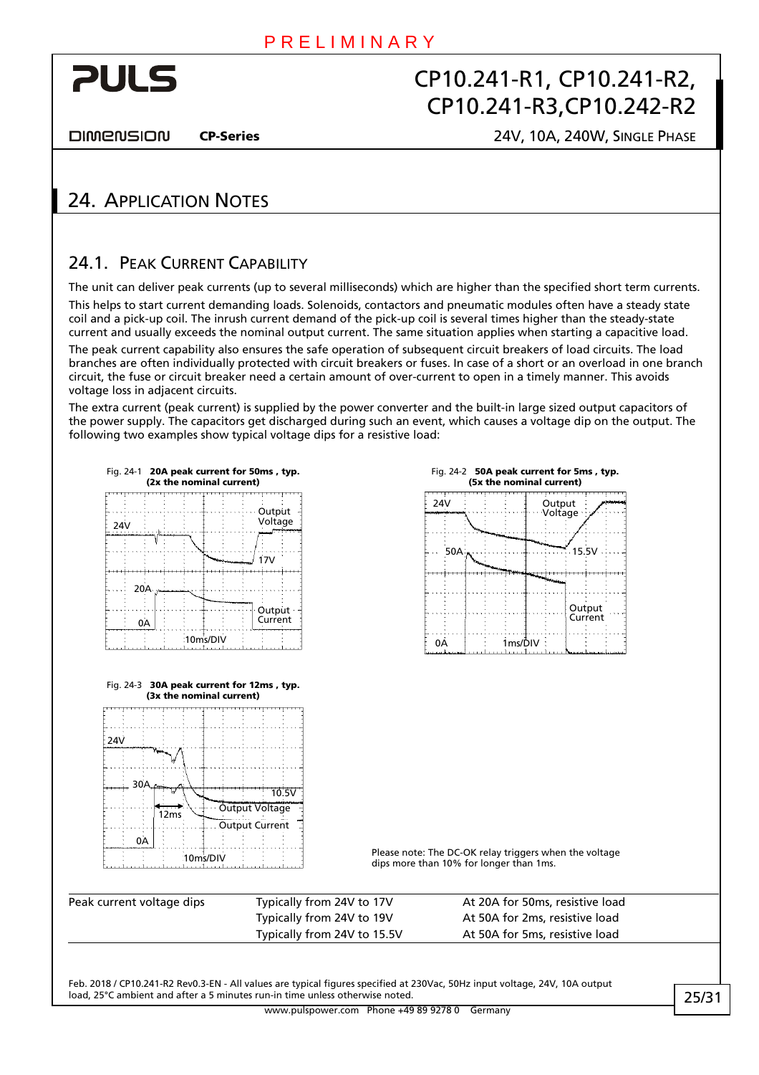<span id="page-24-0"></span>

**DIMENSION** 

#### CP-Series 24V, 10A, 240W, SINGLE PHASE

### 24. APPLICATION NOTES

### <span id="page-24-1"></span>24.1 PEAK CURRENT CAPARILITY

The unit can deliver peak currents (up to several milliseconds) which are higher than the specified short term currents. This helps to start current demanding loads. Solenoids, contactors and pneumatic modules often have a steady state coil and a pick-up coil. The inrush current demand of the pick-up coil is several times higher than the steady-state current and usually exceeds the nominal output current. The same situation applies when starting a capacitive load.

The peak current capability also ensures the safe operation of subsequent circuit breakers of load circuits. The load branches are often individually protected with circuit breakers or fuses. In case of a short or an overload in one branch circuit, the fuse or circuit breaker need a certain amount of over-current to open in a timely manner. This avoids voltage loss in adjacent circuits.

The extra current (peak current) is supplied by the power converter and the built-in large sized output capacitors of the power supply. The capacitors get discharged during such an event, which causes a voltage dip on the output. The following two examples show typical voltage dips for a resistive load:

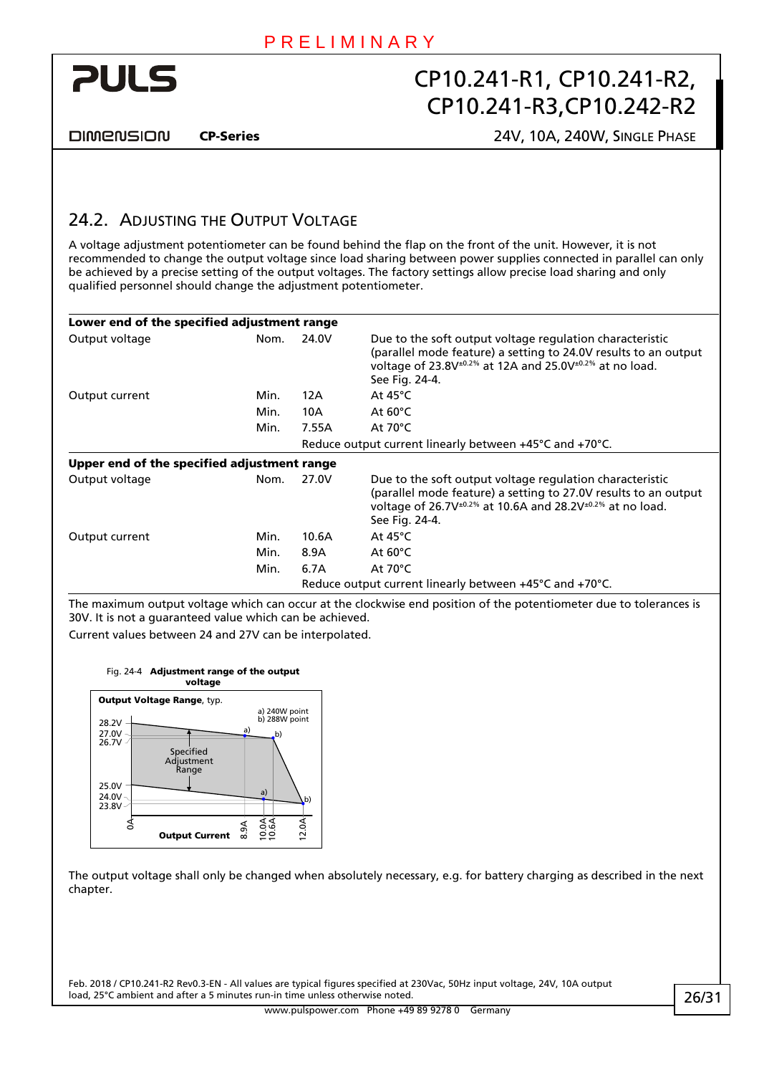<span id="page-25-0"></span>

**DIMENSION** 

CP-Series 24V, 10A, 240W, SINGLE PHASE

### <span id="page-25-1"></span>24.2. ADJUSTING THE OUTPUT VOLTAGE

A voltage adjustment potentiometer can be found behind the flap on the front of the unit. However, it is not recommended to change the output voltage since load sharing between power supplies connected in parallel can only be achieved by a precise setting of the output voltages. The factory settings allow precise load sharing and only qualified personnel should change the adjustment potentiometer.

| Lower end of the specified adjustment range |      |       |                                                                                                                                                                                                                                    |
|---------------------------------------------|------|-------|------------------------------------------------------------------------------------------------------------------------------------------------------------------------------------------------------------------------------------|
| Output voltage                              | Nom. | 24.0V | Due to the soft output voltage regulation characteristic<br>(parallel mode feature) a setting to 24.0V results to an output<br>voltage of 23.8V <sup>±0.2%</sup> at 12A and 25.0V <sup>±0.2%</sup> at no load.<br>See Fig. 24-4.   |
| Output current                              | Min. | 12A   | At $45^{\circ}$ C                                                                                                                                                                                                                  |
|                                             | Min. | 10A   | At $60^{\circ}$ C                                                                                                                                                                                                                  |
|                                             | Min. | 7.55A | At $70^{\circ}$ C                                                                                                                                                                                                                  |
|                                             |      |       | Reduce output current linearly between +45°C and +70°C.                                                                                                                                                                            |
| Upper end of the specified adjustment range |      |       |                                                                                                                                                                                                                                    |
| Output voltage                              | Nom. | 27.0V | Due to the soft output voltage regulation characteristic<br>(parallel mode feature) a setting to 27.0V results to an output<br>voltage of 26.7V <sup>±0.2%</sup> at 10.6A and 28.2V <sup>±0.2%</sup> at no load.<br>See Fig. 24-4. |
| Output current                              | Min. | 10.6A | At $45^{\circ}$ C                                                                                                                                                                                                                  |
|                                             | Min. | 8.9A  | At $60^{\circ}$ C                                                                                                                                                                                                                  |
|                                             | Min. | 6.7A  | At $70^{\circ}$ C                                                                                                                                                                                                                  |
|                                             |      |       | Reduce output current linearly between $+45^{\circ}$ C and $+70^{\circ}$ C.                                                                                                                                                        |

The maximum output voltage which can occur at the clockwise end position of the potentiometer due to tolerances is 30V. It is not a guaranteed value which can be achieved.

<span id="page-25-2"></span>Current values between 24 and 27V can be interpolated.



The output voltage shall only be changed when absolutely necessary, e.g. for battery charging as described in the next chapter.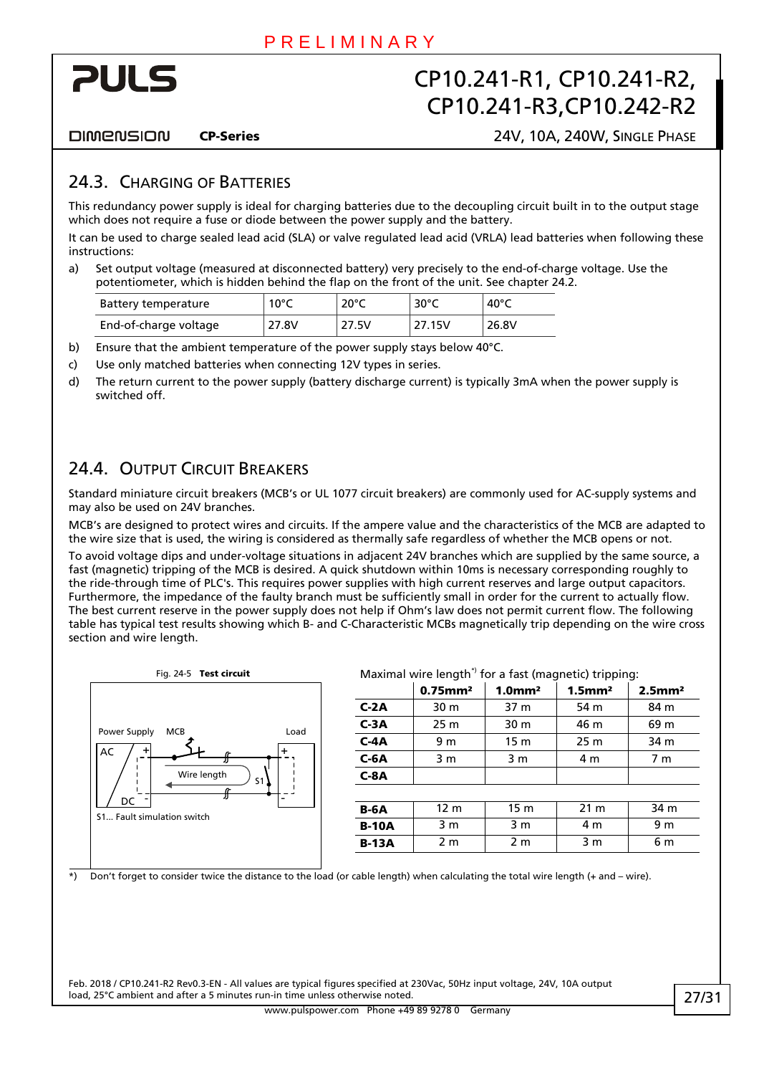<span id="page-26-0"></span>

**DIMENSION** 

CP-Series 24V, 10A, 240W, SINGLE PHASE

#### 24.3. CHARGING OF BATTERIES

This redundancy power supply is ideal for charging batteries due to the decoupling circuit built in to the output stage which does not require a fuse or diode between the power supply and the battery.

It can be used to charge sealed lead acid (SLA) or valve regulated lead acid (VRLA) lead batteries when following these instructions:

a) Set output voltage (measured at disconnected battery) very precisely to the end-of-charge voltage. Use the potentiometer, which is hidden behind the flap on the front of the unit. See chapter [24.2](#page-25-1).

| Battery temperature   | $10^{\circ}$ C | $20^{\circ}$ C | $30^{\circ}$ C | 40°C  |
|-----------------------|----------------|----------------|----------------|-------|
| End-of-charge voltage | 27.8V          | 27.5V          | 27.15V         | 26.8V |

b) Ensure that the ambient temperature of the power supply stays below 40°C.

- c) Use only matched batteries when connecting 12V types in series.
- d) The return current to the power supply (battery discharge current) is typically 3mA when the power supply is switched off.

### 24.4. OUTPUT CIRCUIT BREAKERS

Standard miniature circuit breakers (MCB's or UL 1077 circuit breakers) are commonly used for AC-supply systems and may also be used on 24V branches.

MCB's are designed to protect wires and circuits. If the ampere value and the characteristics of the MCB are adapted to the wire size that is used, the wiring is considered as thermally safe regardless of whether the MCB opens or not.

To avoid voltage dips and under-voltage situations in adjacent 24V branches which are supplied by the same source, a fast (magnetic) tripping of the MCB is desired. A quick shutdown within 10ms is necessary corresponding roughly to the ride-through time of PLC's. This requires power supplies with high current reserves and large output capacitors. Furthermore, the impedance of the faulty branch must be sufficiently small in order for the current to actually flow. The best current reserve in the power supply does not help if Ohm's law does not permit current flow. The following table has typical test results showing which B- and C-Characteristic MCBs magnetically trip depending on the wire cross section and wire length.



Fig. 24-5 Test circuit **Maximal wire length<sup>\*</sup>** for a fast (magnetic) tripping:

| maximar wire rengen nor a rase (magnetic) enpping. |                        |                  |                       |                       |  |  |
|----------------------------------------------------|------------------------|------------------|-----------------------|-----------------------|--|--|
|                                                    | $0.75$ mm <sup>2</sup> | 1.0 <sup>m</sup> | $1.5$ mm <sup>2</sup> | $2.5$ mm <sup>2</sup> |  |  |
| $C-2A$                                             | 30 m                   | 37 m             | 54 m                  | 84 m                  |  |  |
| $C-3A$                                             | 25 <sub>m</sub>        | 30 m             | 46 m                  | 69 m                  |  |  |
| $C-4A$                                             | 9 m                    | 15 <sub>m</sub>  | 25 <sub>m</sub>       | 34 m                  |  |  |
| $C-6A$                                             | 3 m                    | 3 m              | 4 m                   | 7 <sub>m</sub>        |  |  |
| $C-8A$                                             |                        |                  |                       |                       |  |  |
|                                                    |                        |                  |                       |                       |  |  |
| <b>B-6A</b>                                        | 12 <sub>m</sub>        | 15 <sub>m</sub>  | 21 <sub>m</sub>       | 34 m                  |  |  |
| <b>B-10A</b>                                       | 3 m                    | 3 m              | 4 m                   | 9 <sub>m</sub>        |  |  |
| <b>B-13A</b>                                       | 2 <sub>m</sub>         | 2 <sub>m</sub>   | 3 <sub>m</sub>        | 6 m                   |  |  |
|                                                    |                        |                  |                       |                       |  |  |

\*) Don't forget to consider twice the distance to the load (or cable length) when calculating the total wire length (+ and – wire).

Feb. 2018 / CP10.241-R2 Rev0.3-EN - All values are typical figures specified at 230Vac, 50Hz input voltage, 24V, 10A output load, 25°C ambient and after a 5 minutes run-in time unless otherwise noted.

www.pulspower.com Phone +49 89 9278 0 Germany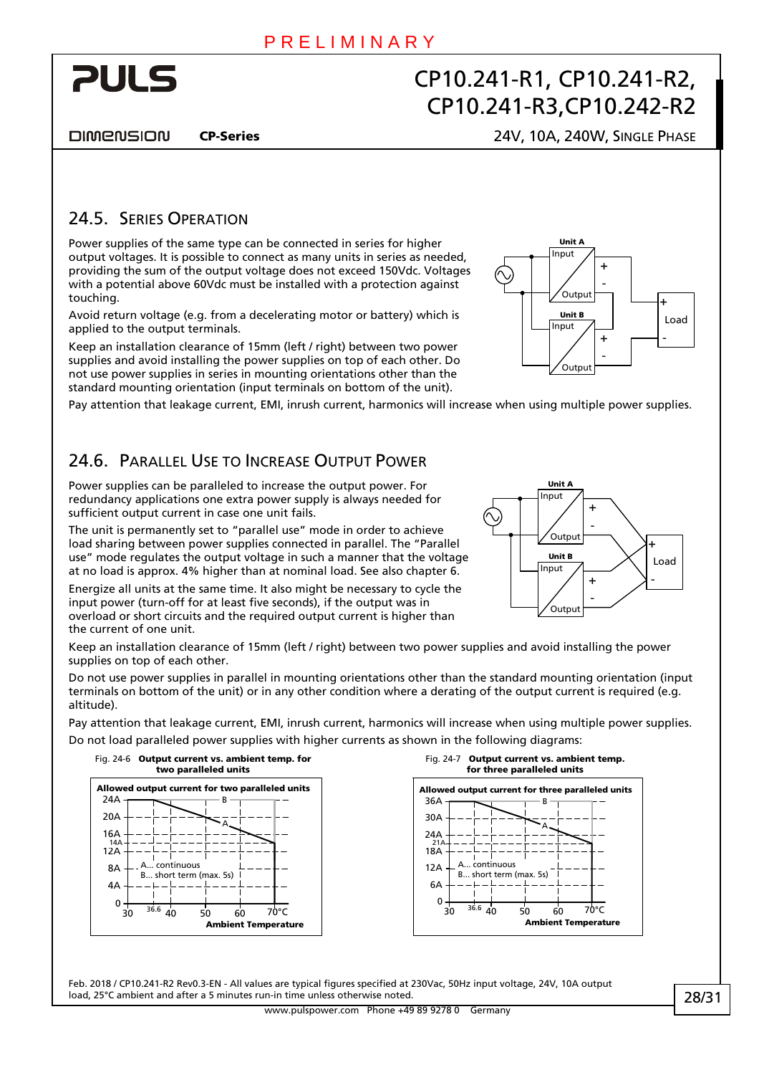<span id="page-27-0"></span>

**DIMENSION** 

#### CP-Series 24V, 10A, 240W, SINGLE PHASE

#### 24.5. SERIES OPERATION

Power supplies of the same type can be connected in series for higher output voltages. It is possible to connect as many units in series as needed, providing the sum of the output voltage does not exceed 150Vdc. Voltages with a potential above 60Vdc must be installed with a protection against touching.

Avoid return voltage (e.g. from a decelerating motor or battery) which is applied to the output terminals.

Keep an installation clearance of 15mm (left / right) between two power supplies and avoid installing the power supplies on top of each other. Do not use power supplies in series in mounting orientations other than the standard mounting orientation (input terminals on bottom of the unit).

Pay attention that leakage current, EMI, inrush current, harmonics will increase when using multiple power supplies.

### 24.6. PARALLEL USE TO INCREASE OUTPUT POWER

Power supplies can be paralleled to increase the output power. For redundancy applications one extra power supply is always needed for sufficient output current in case one unit fails.

The unit is permanently set to "parallel use" mode in order to achieve load sharing between power supplies connected in parallel. The "Parallel use" mode regulates the output voltage in such a manner that the voltage at no load is approx. 4% higher than at nominal load. See also chapter [6](#page-7-1).

Energize all units at the same time. It also might be necessary to cycle the input power (turn-off for at least five seconds), if the output was in overload or short circuits and the required output current is higher than the current of one unit.



Unit / Unit B - + - + Load + - Input Output Input Output

Keep an installation clearance of 15mm (left / right) between two power supplies and avoid installing the power supplies on top of each other.

Do not use power supplies in parallel in mounting orientations other than the standard mounting orientation (input terminals on bottom of the unit) or in any other condition where a derating of the output current is required (e.g. altitude).

<span id="page-27-1"></span>Pay attention that leakage current, EMI, inrush current, harmonics will increase when using multiple power supplies. Do not load paralleled power supplies with higher currents as shown in the following diagrams:





Feb. 2018 / CP10.241-R2 Rev0.3-EN - All values are typical figures specified at 230Vac, 50Hz input voltage, 24V, 10A output load, 25°C ambient and after a 5 minutes run-in time unless otherwise noted.

www.pulspower.com Phone +49 89 9278 0 Germany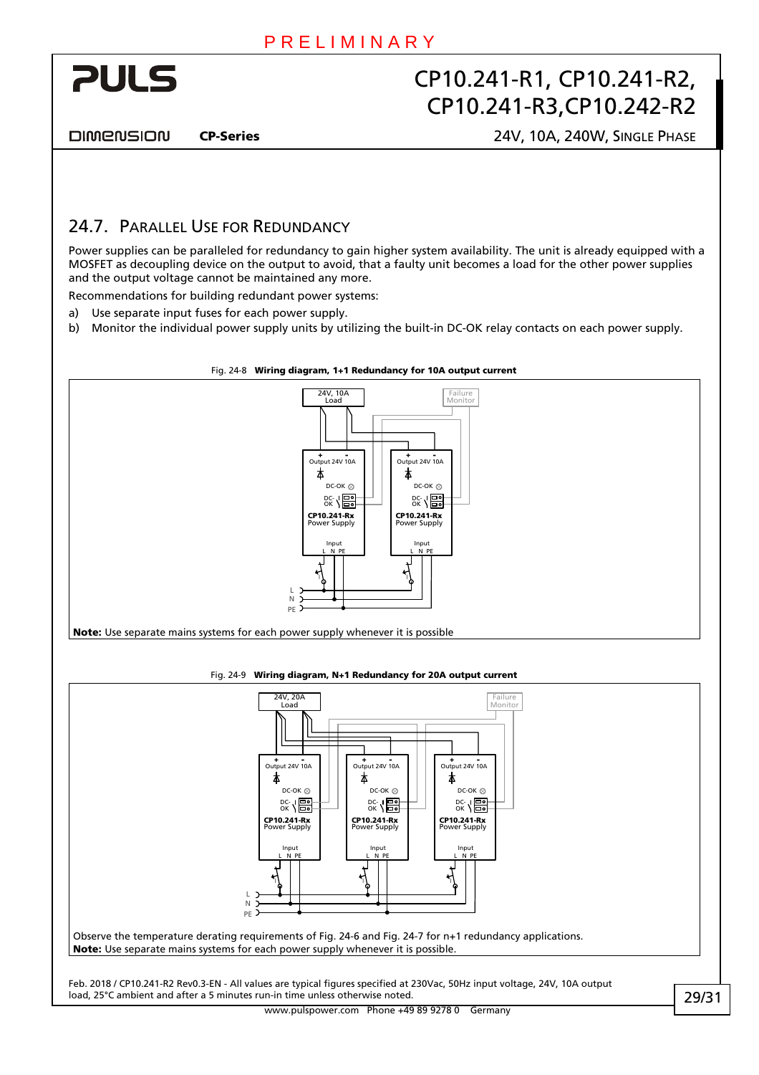<span id="page-28-0"></span>

**DIMENSION** 

CP-Series 24V, 10A, 240W, SINGLE PHASE

### 24.7. PARALLEL USE FOR REDUNDANCY

Power supplies can be paralleled for redundancy to gain higher system availability. The unit is already equipped with a MOSFET as decoupling device on the output to avoid, that a faulty unit becomes a load for the other power supplies and the output voltage cannot be maintained any more.

Recommendations for building redundant power systems:

- a) Use separate input fuses for each power supply.
- b) Monitor the individual power supply units by utilizing the built-in DC-OK relay contacts on each power supply.



#### Fig. 24-9 Wiring diagram, N+1 Redundancy for 20A output current

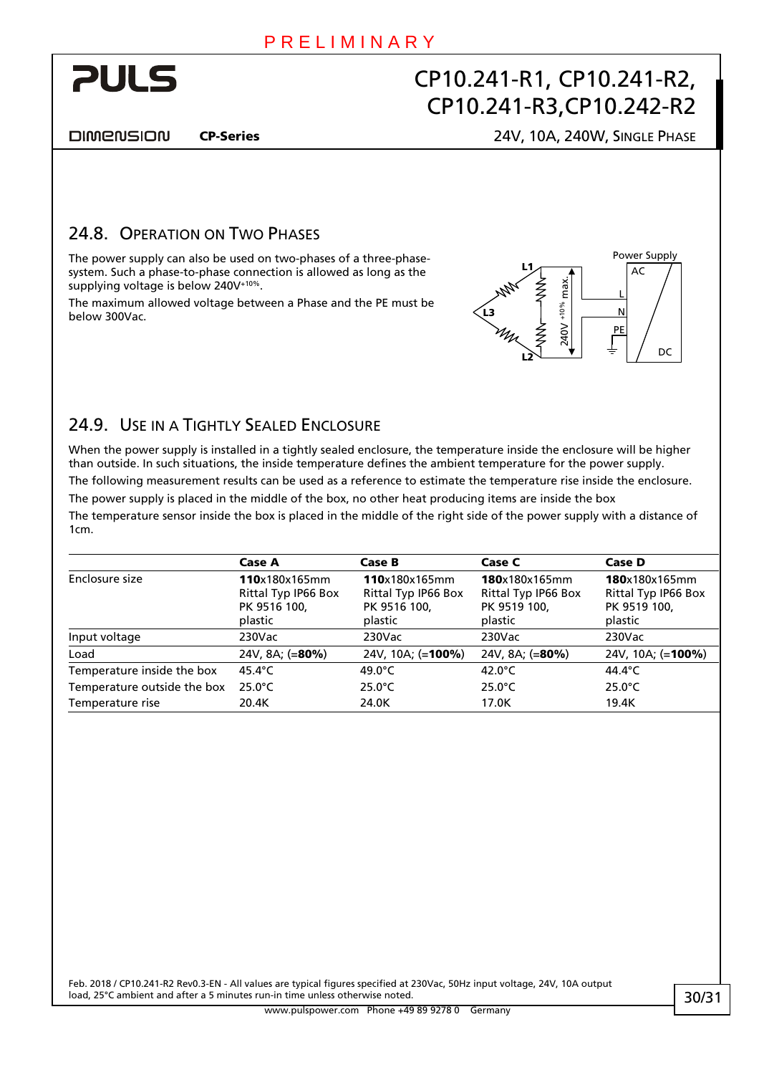<span id="page-29-0"></span>

DIMENSION

#### CP-Series 24V, 10A, 240W, SINGLE PHASE

#### 24.8. OPERATION ON TWO PHASES

The power supply can also be used on two-phases of a three-phasesystem. Such a phase-to-phase connection is allowed as long as the supplying voltage is below 240V+10%.

The maximum allowed voltage between a Phase and the PE must be below 300Vac.



### 24.9. USE IN A TIGHTLY SEALED ENCLOSURE

When the power supply is installed in a tightly sealed enclosure, the temperature inside the enclosure will be higher than outside. In such situations, the inside temperature defines the ambient temperature for the power supply.

The following measurement results can be used as a reference to estimate the temperature rise inside the enclosure. The power supply is placed in the middle of the box, no other heat producing items are inside the box The temperature sensor inside the box is placed in the middle of the right side of the power supply with a distance of 1cm.

|                             | <b>Case A</b>                                                   | Case B                                                          | Case C                                                          | Case D                                                          |
|-----------------------------|-----------------------------------------------------------------|-----------------------------------------------------------------|-----------------------------------------------------------------|-----------------------------------------------------------------|
| Enclosure size              | 110x180x165mm<br>Rittal Typ IP66 Box<br>PK 9516 100,<br>plastic | 110x180x165mm<br>Rittal Typ IP66 Box<br>PK 9516 100,<br>plastic | 180x180x165mm<br>Rittal Typ IP66 Box<br>PK 9519 100,<br>plastic | 180x180x165mm<br>Rittal Typ IP66 Box<br>PK 9519 100,<br>plastic |
| Input voltage               | 230Vac                                                          | 230Vac                                                          | $230$ Vac                                                       | $230$ Vac                                                       |
| Load                        | 24V, 8A; (=80%)                                                 | 24V, 10A; (=100%)                                               | 24V, 8A; $(=80\%)$                                              | 24V, 10A; (= <b>100%)</b>                                       |
| Temperature inside the box  | 45.4 $^{\circ}$ C                                               | 49.0 $^{\circ}$ C                                               | 42.0 $\degree$ C                                                | 44.4°C                                                          |
| Temperature outside the box | $25.0^{\circ}$ C                                                | $25.0^{\circ}$ C                                                | $25.0^{\circ}$ C                                                | $25.0^{\circ}$ C                                                |
| Temperature rise            | 20.4K                                                           | 24.0K                                                           | 17.0K                                                           | 19.4K                                                           |